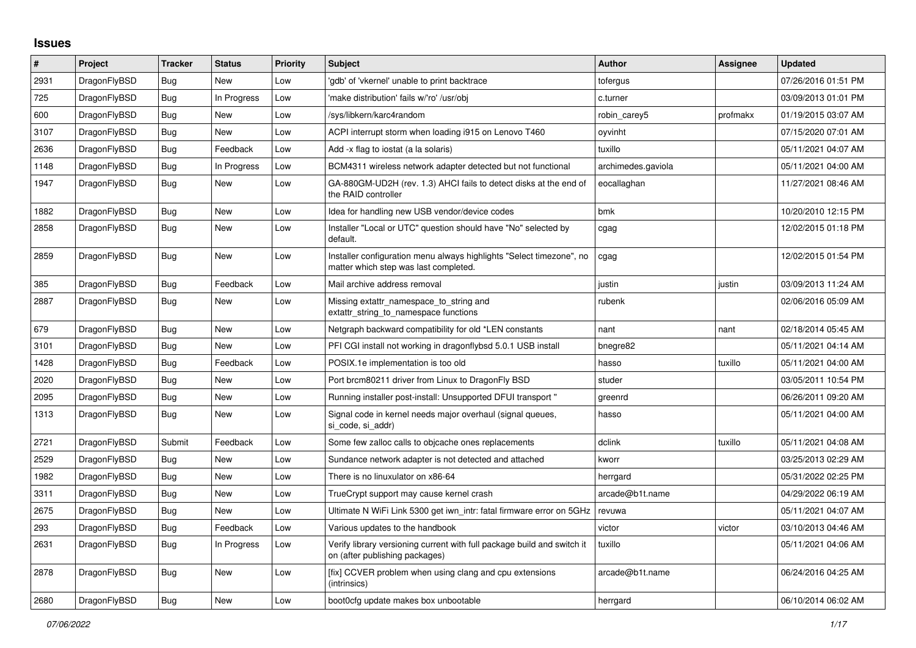## **Issues**

| $\vert$ # | Project      | <b>Tracker</b> | <b>Status</b> | <b>Priority</b> | <b>Subject</b>                                                                                                | <b>Author</b>      | Assignee | <b>Updated</b>      |
|-----------|--------------|----------------|---------------|-----------------|---------------------------------------------------------------------------------------------------------------|--------------------|----------|---------------------|
| 2931      | DragonFlyBSD | Bug            | <b>New</b>    | Low             | 'gdb' of 'vkernel' unable to print backtrace                                                                  | tofergus           |          | 07/26/2016 01:51 PM |
| 725       | DragonFlyBSD | Bug            | In Progress   | Low             | 'make distribution' fails w/'ro' /usr/obj                                                                     | c.turner           |          | 03/09/2013 01:01 PM |
| 600       | DragonFlyBSD | Bug            | New           | Low             | /sys/libkern/karc4random                                                                                      | robin carey5       | profmakx | 01/19/2015 03:07 AM |
| 3107      | DragonFlyBSD | Bug            | <b>New</b>    | Low             | ACPI interrupt storm when loading i915 on Lenovo T460                                                         | oyvinht            |          | 07/15/2020 07:01 AM |
| 2636      | DragonFlyBSD | Bug            | Feedback      | Low             | Add -x flag to iostat (a la solaris)                                                                          | tuxillo            |          | 05/11/2021 04:07 AM |
| 1148      | DragonFlyBSD | Bug            | In Progress   | Low             | BCM4311 wireless network adapter detected but not functional                                                  | archimedes.gaviola |          | 05/11/2021 04:00 AM |
| 1947      | DragonFlyBSD | <b>Bug</b>     | New           | Low             | GA-880GM-UD2H (rev. 1.3) AHCI fails to detect disks at the end of<br>the RAID controller                      | eocallaghan        |          | 11/27/2021 08:46 AM |
| 1882      | DragonFlyBSD | <b>Bug</b>     | New           | Low             | Idea for handling new USB vendor/device codes                                                                 | bmk                |          | 10/20/2010 12:15 PM |
| 2858      | DragonFlyBSD | <b>Bug</b>     | <b>New</b>    | Low             | Installer "Local or UTC" question should have "No" selected by<br>default.                                    | cgag               |          | 12/02/2015 01:18 PM |
| 2859      | DragonFlyBSD | Bug            | <b>New</b>    | Low             | Installer configuration menu always highlights "Select timezone", no<br>matter which step was last completed. | cgag               |          | 12/02/2015 01:54 PM |
| 385       | DragonFlyBSD | <b>Bug</b>     | Feedback      | Low             | Mail archive address removal                                                                                  | justin             | justin   | 03/09/2013 11:24 AM |
| 2887      | DragonFlyBSD | Bug            | <b>New</b>    | Low             | Missing extattr namespace to string and<br>extattr string to namespace functions                              | rubenk             |          | 02/06/2016 05:09 AM |
| 679       | DragonFlyBSD | Bug            | New           | Low             | Netgraph backward compatibility for old *LEN constants                                                        | nant               | nant     | 02/18/2014 05:45 AM |
| 3101      | DragonFlyBSD | Bug            | New           | Low             | PFI CGI install not working in dragonflybsd 5.0.1 USB install                                                 | bnegre82           |          | 05/11/2021 04:14 AM |
| 1428      | DragonFlyBSD | Bug            | Feedback      | Low             | POSIX.1e implementation is too old                                                                            | hasso              | tuxillo  | 05/11/2021 04:00 AM |
| 2020      | DragonFlyBSD | Bug            | <b>New</b>    | Low             | Port brcm80211 driver from Linux to DragonFly BSD                                                             | studer             |          | 03/05/2011 10:54 PM |
| 2095      | DragonFlyBSD | <b>Bug</b>     | New           | Low             | Running installer post-install: Unsupported DFUI transport"                                                   | greenrd            |          | 06/26/2011 09:20 AM |
| 1313      | DragonFlyBSD | Bug            | New           | Low             | Signal code in kernel needs major overhaul (signal queues,<br>si code, si addr)                               | hasso              |          | 05/11/2021 04:00 AM |
| 2721      | DragonFlyBSD | Submit         | Feedback      | Low             | Some few zalloc calls to objcache ones replacements                                                           | dclink             | tuxillo  | 05/11/2021 04:08 AM |
| 2529      | DragonFlyBSD | Bug            | <b>New</b>    | Low             | Sundance network adapter is not detected and attached                                                         | kworr              |          | 03/25/2013 02:29 AM |
| 1982      | DragonFlyBSD | Bug            | New           | Low             | There is no linuxulator on x86-64                                                                             | herrgard           |          | 05/31/2022 02:25 PM |
| 3311      | DragonFlyBSD | <b>Bug</b>     | New           | Low             | TrueCrypt support may cause kernel crash                                                                      | arcade@b1t.name    |          | 04/29/2022 06:19 AM |
| 2675      | DragonFlyBSD | Bug            | New           | Low             | Ultimate N WiFi Link 5300 get iwn intr: fatal firmware error on 5GHz                                          | revuwa             |          | 05/11/2021 04:07 AM |
| 293       | DragonFlyBSD | Bug            | Feedback      | Low             | Various updates to the handbook                                                                               | victor             | victor   | 03/10/2013 04:46 AM |
| 2631      | DragonFlyBSD | Bug            | In Progress   | Low             | Verify library versioning current with full package build and switch it<br>on (after publishing packages)     | tuxillo            |          | 05/11/2021 04:06 AM |
| 2878      | DragonFlyBSD | Bug            | New           | Low             | [fix] CCVER problem when using clang and cpu extensions<br>(intrinsics)                                       | arcade@b1t.name    |          | 06/24/2016 04:25 AM |
| 2680      | DragonFlyBSD | Bug            | New           | Low             | boot0cfg update makes box unbootable                                                                          | herrgard           |          | 06/10/2014 06:02 AM |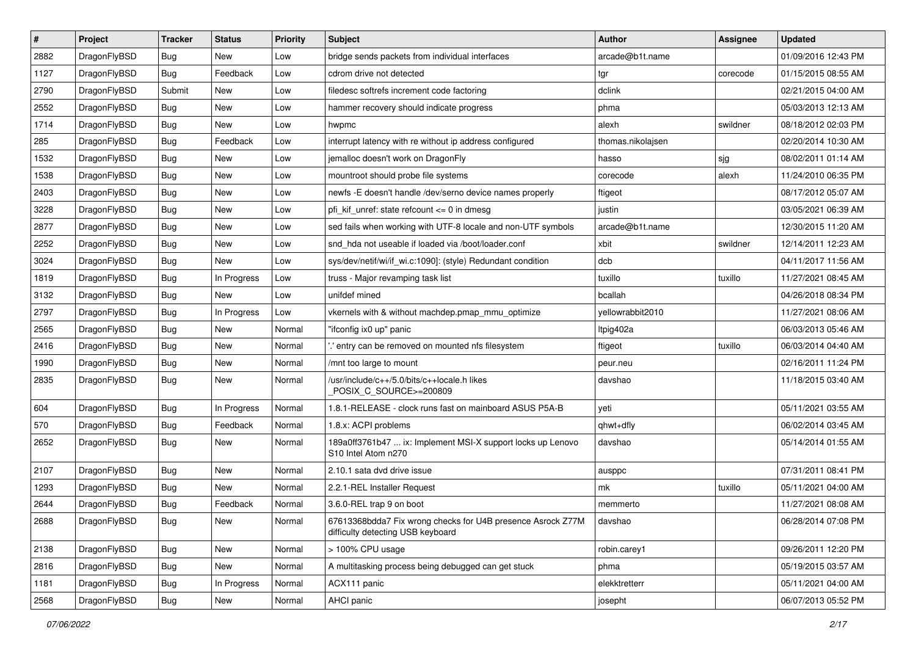| $\vert$ # | Project      | <b>Tracker</b> | <b>Status</b> | <b>Priority</b> | <b>Subject</b>                                                                                   | <b>Author</b>     | Assignee | <b>Updated</b>      |
|-----------|--------------|----------------|---------------|-----------------|--------------------------------------------------------------------------------------------------|-------------------|----------|---------------------|
| 2882      | DragonFlyBSD | Bug            | <b>New</b>    | Low             | bridge sends packets from individual interfaces                                                  | arcade@b1t.name   |          | 01/09/2016 12:43 PM |
| 1127      | DragonFlyBSD | <b>Bug</b>     | Feedback      | Low             | cdrom drive not detected                                                                         | tgr               | corecode | 01/15/2015 08:55 AM |
| 2790      | DragonFlyBSD | Submit         | <b>New</b>    | Low             | filedesc softrefs increment code factoring                                                       | dclink            |          | 02/21/2015 04:00 AM |
| 2552      | DragonFlyBSD | Bug            | <b>New</b>    | Low             | hammer recovery should indicate progress                                                         | phma              |          | 05/03/2013 12:13 AM |
| 1714      | DragonFlyBSD | <b>Bug</b>     | <b>New</b>    | Low             | hwpmc                                                                                            | alexh             | swildner | 08/18/2012 02:03 PM |
| 285       | DragonFlyBSD | <b>Bug</b>     | Feedback      | Low             | interrupt latency with re without ip address configured                                          | thomas.nikolajsen |          | 02/20/2014 10:30 AM |
| 1532      | DragonFlyBSD | <b>Bug</b>     | <b>New</b>    | Low             | jemalloc doesn't work on DragonFly                                                               | hasso             | sjg      | 08/02/2011 01:14 AM |
| 1538      | DragonFlyBSD | Bug            | <b>New</b>    | Low             | mountroot should probe file systems                                                              | corecode          | alexh    | 11/24/2010 06:35 PM |
| 2403      | DragonFlyBSD | Bug            | <b>New</b>    | Low             | newfs -E doesn't handle /dev/serno device names properly                                         | ftigeot           |          | 08/17/2012 05:07 AM |
| 3228      | DragonFlyBSD | Bug            | <b>New</b>    | Low             | pfi_kif_unref: state refcount <= 0 in dmesg                                                      | justin            |          | 03/05/2021 06:39 AM |
| 2877      | DragonFlyBSD | <b>Bug</b>     | <b>New</b>    | Low             | sed fails when working with UTF-8 locale and non-UTF symbols                                     | arcade@b1t.name   |          | 12/30/2015 11:20 AM |
| 2252      | DragonFlyBSD | Bug            | <b>New</b>    | Low             | snd_hda not useable if loaded via /boot/loader.conf                                              | xbit              | swildner | 12/14/2011 12:23 AM |
| 3024      | DragonFlyBSD | Bug            | New           | Low             | sys/dev/netif/wi/if_wi.c:1090]: (style) Redundant condition                                      | dcb               |          | 04/11/2017 11:56 AM |
| 1819      | DragonFlyBSD | <b>Bug</b>     | In Progress   | Low             | truss - Major revamping task list                                                                | tuxillo           | tuxillo  | 11/27/2021 08:45 AM |
| 3132      | DragonFlyBSD | <b>Bug</b>     | New           | Low             | unifdef mined                                                                                    | bcallah           |          | 04/26/2018 08:34 PM |
| 2797      | DragonFlyBSD | <b>Bug</b>     | In Progress   | Low             | vkernels with & without machdep.pmap_mmu_optimize                                                | yellowrabbit2010  |          | 11/27/2021 08:06 AM |
| 2565      | DragonFlyBSD | Bug            | <b>New</b>    | Normal          | "ifconfig ix0 up" panic                                                                          | Itpig402a         |          | 06/03/2013 05:46 AM |
| 2416      | DragonFlyBSD | Bug            | <b>New</b>    | Normal          | ".' entry can be removed on mounted nfs filesystem                                               | ftigeot           | tuxillo  | 06/03/2014 04:40 AM |
| 1990      | DragonFlyBSD | <b>Bug</b>     | <b>New</b>    | Normal          | /mnt too large to mount                                                                          | peur.neu          |          | 02/16/2011 11:24 PM |
| 2835      | DragonFlyBSD | Bug            | New           | Normal          | /usr/include/c++/5.0/bits/c++locale.h likes<br>POSIX_C_SOURCE>=200809                            | davshao           |          | 11/18/2015 03:40 AM |
| 604       | DragonFlyBSD | <b>Bug</b>     | In Progress   | Normal          | 1.8.1-RELEASE - clock runs fast on mainboard ASUS P5A-B                                          | yeti              |          | 05/11/2021 03:55 AM |
| 570       | DragonFlyBSD | <b>Bug</b>     | Feedback      | Normal          | 1.8.x: ACPI problems                                                                             | qhwt+dfly         |          | 06/02/2014 03:45 AM |
| 2652      | DragonFlyBSD | <b>Bug</b>     | New           | Normal          | 189a0ff3761b47  ix: Implement MSI-X support locks up Lenovo<br>S10 Intel Atom n270               | davshao           |          | 05/14/2014 01:55 AM |
| 2107      | DragonFlyBSD | Bug            | <b>New</b>    | Normal          | 2.10.1 sata dvd drive issue                                                                      | ausppc            |          | 07/31/2011 08:41 PM |
| 1293      | DragonFlyBSD | <b>Bug</b>     | <b>New</b>    | Normal          | 2.2.1-REL Installer Request                                                                      | mk                | tuxillo  | 05/11/2021 04:00 AM |
| 2644      | DragonFlyBSD | <b>Bug</b>     | Feedback      | Normal          | 3.6.0-REL trap 9 on boot                                                                         | memmerto          |          | 11/27/2021 08:08 AM |
| 2688      | DragonFlyBSD | <b>Bug</b>     | New           | Normal          | 67613368bdda7 Fix wrong checks for U4B presence Asrock Z77M<br>difficulty detecting USB keyboard | davshao           |          | 06/28/2014 07:08 PM |
| 2138      | DragonFlyBSD | <b>Bug</b>     | New           | Normal          | > 100% CPU usage                                                                                 | robin.carey1      |          | 09/26/2011 12:20 PM |
| 2816      | DragonFlyBSD | <b>Bug</b>     | New           | Normal          | A multitasking process being debugged can get stuck                                              | phma              |          | 05/19/2015 03:57 AM |
| 1181      | DragonFlyBSD | <b>Bug</b>     | In Progress   | Normal          | ACX111 panic                                                                                     | elekktretterr     |          | 05/11/2021 04:00 AM |
| 2568      | DragonFlyBSD | Bug            | New           | Normal          | AHCI panic                                                                                       | josepht           |          | 06/07/2013 05:52 PM |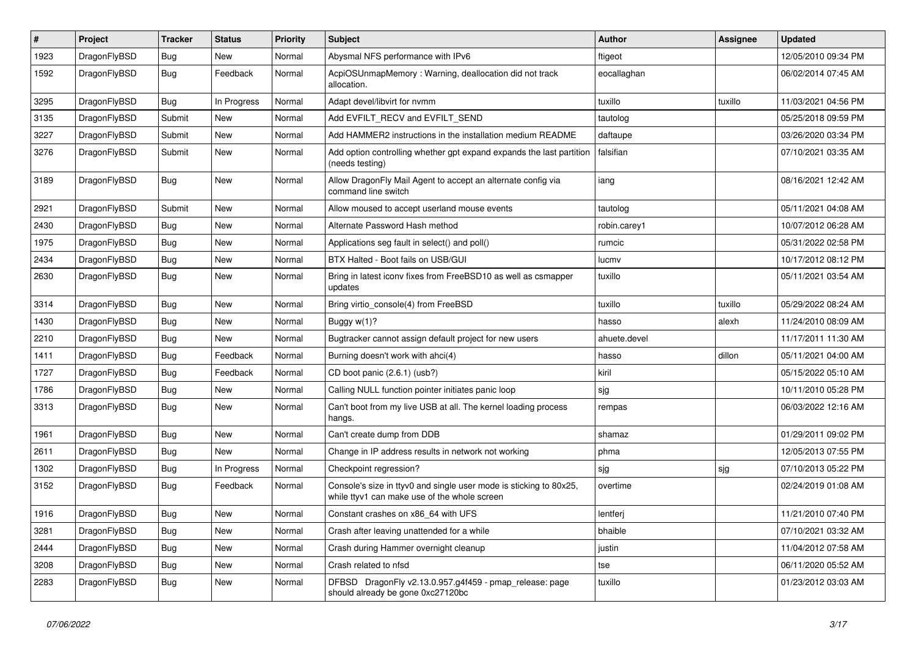| #    | Project      | <b>Tracker</b> | <b>Status</b> | <b>Priority</b> | Subject                                                                                                            | <b>Author</b> | Assignee | <b>Updated</b>      |
|------|--------------|----------------|---------------|-----------------|--------------------------------------------------------------------------------------------------------------------|---------------|----------|---------------------|
| 1923 | DragonFlyBSD | Bug            | New           | Normal          | Abysmal NFS performance with IPv6                                                                                  | ftigeot       |          | 12/05/2010 09:34 PM |
| 1592 | DragonFlyBSD | Bug            | Feedback      | Normal          | AcpiOSUnmapMemory: Warning, deallocation did not track<br>allocation.                                              | eocallaghan   |          | 06/02/2014 07:45 AM |
| 3295 | DragonFlyBSD | Bug            | In Progress   | Normal          | Adapt devel/libvirt for nvmm                                                                                       | tuxillo       | tuxillo  | 11/03/2021 04:56 PM |
| 3135 | DragonFlyBSD | Submit         | New           | Normal          | Add EVFILT_RECV and EVFILT_SEND                                                                                    | tautolog      |          | 05/25/2018 09:59 PM |
| 3227 | DragonFlyBSD | Submit         | New           | Normal          | Add HAMMER2 instructions in the installation medium README                                                         | daftaupe      |          | 03/26/2020 03:34 PM |
| 3276 | DragonFlyBSD | Submit         | New           | Normal          | Add option controlling whether gpt expand expands the last partition<br>(needs testing)                            | falsifian     |          | 07/10/2021 03:35 AM |
| 3189 | DragonFlyBSD | Bug            | New           | Normal          | Allow DragonFly Mail Agent to accept an alternate config via<br>command line switch                                | iang          |          | 08/16/2021 12:42 AM |
| 2921 | DragonFlyBSD | Submit         | New           | Normal          | Allow moused to accept userland mouse events                                                                       | tautolog      |          | 05/11/2021 04:08 AM |
| 2430 | DragonFlyBSD | Bug            | <b>New</b>    | Normal          | Alternate Password Hash method                                                                                     | robin.carey1  |          | 10/07/2012 06:28 AM |
| 1975 | DragonFlyBSD | Bug            | <b>New</b>    | Normal          | Applications seg fault in select() and poll()                                                                      | rumcic        |          | 05/31/2022 02:58 PM |
| 2434 | DragonFlyBSD | <b>Bug</b>     | New           | Normal          | BTX Halted - Boot fails on USB/GUI                                                                                 | lucmv         |          | 10/17/2012 08:12 PM |
| 2630 | DragonFlyBSD | Bug            | New           | Normal          | Bring in latest iconv fixes from FreeBSD10 as well as csmapper<br>updates                                          | tuxillo       |          | 05/11/2021 03:54 AM |
| 3314 | DragonFlyBSD | Bug            | <b>New</b>    | Normal          | Bring virtio_console(4) from FreeBSD                                                                               | tuxillo       | tuxillo  | 05/29/2022 08:24 AM |
| 1430 | DragonFlyBSD | Bug            | New           | Normal          | Buggy w(1)?                                                                                                        | hasso         | alexh    | 11/24/2010 08:09 AM |
| 2210 | DragonFlyBSD | <b>Bug</b>     | New           | Normal          | Bugtracker cannot assign default project for new users                                                             | ahuete.devel  |          | 11/17/2011 11:30 AM |
| 1411 | DragonFlyBSD | <b>Bug</b>     | Feedback      | Normal          | Burning doesn't work with ahci(4)                                                                                  | hasso         | dillon   | 05/11/2021 04:00 AM |
| 1727 | DragonFlyBSD | Bug            | Feedback      | Normal          | CD boot panic (2.6.1) (usb?)                                                                                       | kiril         |          | 05/15/2022 05:10 AM |
| 1786 | DragonFlyBSD | <b>Bug</b>     | New           | Normal          | Calling NULL function pointer initiates panic loop                                                                 | sjg           |          | 10/11/2010 05:28 PM |
| 3313 | DragonFlyBSD | Bug            | New           | Normal          | Can't boot from my live USB at all. The kernel loading process<br>hangs.                                           | rempas        |          | 06/03/2022 12:16 AM |
| 1961 | DragonFlyBSD | Bug            | New           | Normal          | Can't create dump from DDB                                                                                         | shamaz        |          | 01/29/2011 09:02 PM |
| 2611 | DragonFlyBSD | Bug            | <b>New</b>    | Normal          | Change in IP address results in network not working                                                                | phma          |          | 12/05/2013 07:55 PM |
| 1302 | DragonFlyBSD | <b>Bug</b>     | In Progress   | Normal          | Checkpoint regression?                                                                                             | sjg           | sjg      | 07/10/2013 05:22 PM |
| 3152 | DragonFlyBSD | <b>Bug</b>     | Feedback      | Normal          | Console's size in ttyv0 and single user mode is sticking to 80x25,<br>while ttyv1 can make use of the whole screen | overtime      |          | 02/24/2019 01:08 AM |
| 1916 | DragonFlyBSD | Bug            | <b>New</b>    | Normal          | Constant crashes on x86 64 with UFS                                                                                | lentferj      |          | 11/21/2010 07:40 PM |
| 3281 | DragonFlyBSD | Bug            | New           | Normal          | Crash after leaving unattended for a while                                                                         | bhaible       |          | 07/10/2021 03:32 AM |
| 2444 | DragonFlyBSD | Bug            | New           | Normal          | Crash during Hammer overnight cleanup                                                                              | justin        |          | 11/04/2012 07:58 AM |
| 3208 | DragonFlyBSD | <b>Bug</b>     | <b>New</b>    | Normal          | Crash related to nfsd                                                                                              | tse           |          | 06/11/2020 05:52 AM |
| 2283 | DragonFlyBSD | <b>Bug</b>     | New           | Normal          | DFBSD DragonFly v2.13.0.957.g4f459 - pmap_release: page<br>should already be gone 0xc27120bc                       | tuxillo       |          | 01/23/2012 03:03 AM |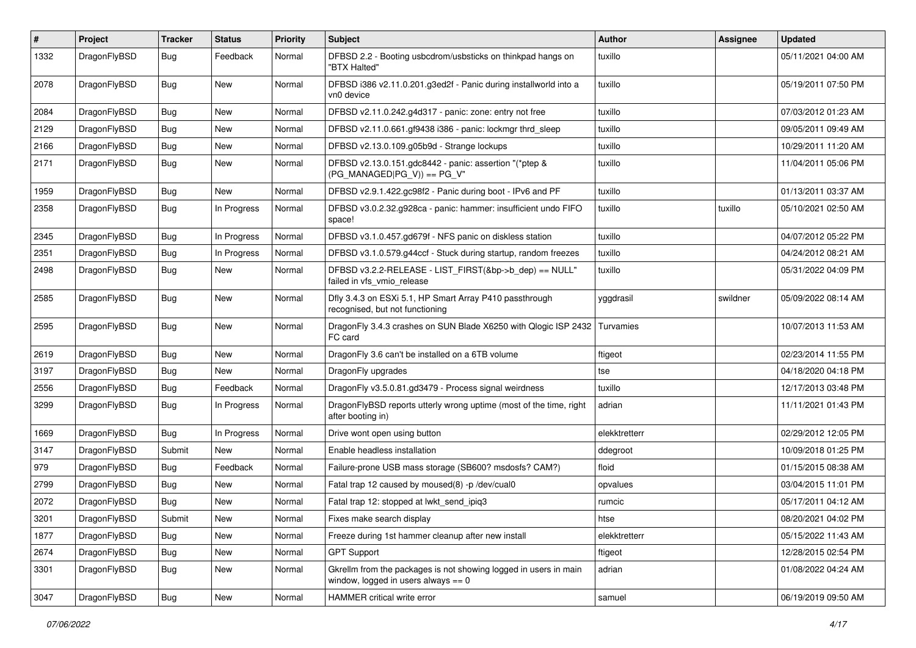| #    | Project      | <b>Tracker</b> | <b>Status</b> | <b>Priority</b> | Subject                                                                                                   | <b>Author</b> | Assignee | <b>Updated</b>      |
|------|--------------|----------------|---------------|-----------------|-----------------------------------------------------------------------------------------------------------|---------------|----------|---------------------|
| 1332 | DragonFlyBSD | Bug            | Feedback      | Normal          | DFBSD 2.2 - Booting usbcdrom/usbsticks on thinkpad hangs on<br>'BTX Halted"                               | tuxillo       |          | 05/11/2021 04:00 AM |
| 2078 | DragonFlyBSD | Bug            | New           | Normal          | DFBSD i386 v2.11.0.201.g3ed2f - Panic during installworld into a<br>vn0 device                            | tuxillo       |          | 05/19/2011 07:50 PM |
| 2084 | DragonFlyBSD | Bug            | <b>New</b>    | Normal          | DFBSD v2.11.0.242.g4d317 - panic: zone: entry not free                                                    | tuxillo       |          | 07/03/2012 01:23 AM |
| 2129 | DragonFlyBSD | Bug            | New           | Normal          | DFBSD v2.11.0.661.gf9438 i386 - panic: lockmgr thrd_sleep                                                 | tuxillo       |          | 09/05/2011 09:49 AM |
| 2166 | DragonFlyBSD | Bug            | New           | Normal          | DFBSD v2.13.0.109.g05b9d - Strange lockups                                                                | tuxillo       |          | 10/29/2011 11:20 AM |
| 2171 | DragonFlyBSD | Bug            | New           | Normal          | DFBSD v2.13.0.151.gdc8442 - panic: assertion "(*ptep &<br>$(PG_MANAGED PG_V)$ == $PG_V$ "                 | tuxillo       |          | 11/04/2011 05:06 PM |
| 1959 | DragonFlyBSD | Bug            | New           | Normal          | DFBSD v2.9.1.422.gc98f2 - Panic during boot - IPv6 and PF                                                 | tuxillo       |          | 01/13/2011 03:37 AM |
| 2358 | DragonFlyBSD | Bug            | In Progress   | Normal          | DFBSD v3.0.2.32.g928ca - panic: hammer: insufficient undo FIFO<br>space!                                  | tuxillo       | tuxillo  | 05/10/2021 02:50 AM |
| 2345 | DragonFlyBSD | Bug            | In Progress   | Normal          | DFBSD v3.1.0.457.gd679f - NFS panic on diskless station                                                   | tuxillo       |          | 04/07/2012 05:22 PM |
| 2351 | DragonFlyBSD | Bug            | In Progress   | Normal          | DFBSD v3.1.0.579.g44ccf - Stuck during startup, random freezes                                            | tuxillo       |          | 04/24/2012 08:21 AM |
| 2498 | DragonFlyBSD | Bug            | <b>New</b>    | Normal          | DFBSD v3.2.2-RELEASE - LIST_FIRST(&bp->b_dep) == NULL"<br>failed in vfs vmio release                      | tuxillo       |          | 05/31/2022 04:09 PM |
| 2585 | DragonFlyBSD | Bug            | <b>New</b>    | Normal          | Dfly 3.4.3 on ESXi 5.1, HP Smart Array P410 passthrough<br>recognised, but not functioning                | yggdrasil     | swildner | 05/09/2022 08:14 AM |
| 2595 | DragonFlyBSD | <b>Bug</b>     | <b>New</b>    | Normal          | DragonFly 3.4.3 crashes on SUN Blade X6250 with Qlogic ISP 2432<br>FC card                                | Turvamies     |          | 10/07/2013 11:53 AM |
| 2619 | DragonFlyBSD | Bug            | New           | Normal          | DragonFly 3.6 can't be installed on a 6TB volume                                                          | ftigeot       |          | 02/23/2014 11:55 PM |
| 3197 | DragonFlyBSD | Bug            | New           | Normal          | DragonFly upgrades                                                                                        | tse           |          | 04/18/2020 04:18 PM |
| 2556 | DragonFlyBSD | Bug            | Feedback      | Normal          | DragonFly v3.5.0.81.gd3479 - Process signal weirdness                                                     | tuxillo       |          | 12/17/2013 03:48 PM |
| 3299 | DragonFlyBSD | <b>Bug</b>     | In Progress   | Normal          | DragonFlyBSD reports utterly wrong uptime (most of the time, right<br>after booting in)                   | adrian        |          | 11/11/2021 01:43 PM |
| 1669 | DragonFlyBSD | Bug            | In Progress   | Normal          | Drive wont open using button                                                                              | elekktretterr |          | 02/29/2012 12:05 PM |
| 3147 | DragonFlyBSD | Submit         | New           | Normal          | Enable headless installation                                                                              | ddegroot      |          | 10/09/2018 01:25 PM |
| 979  | DragonFlyBSD | Bug            | Feedback      | Normal          | Failure-prone USB mass storage (SB600? msdosfs? CAM?)                                                     | floid         |          | 01/15/2015 08:38 AM |
| 2799 | DragonFlyBSD | Bug            | New           | Normal          | Fatal trap 12 caused by moused(8) -p /dev/cual0                                                           | opvalues      |          | 03/04/2015 11:01 PM |
| 2072 | DragonFlyBSD | Bug            | New           | Normal          | Fatal trap 12: stopped at lwkt_send_ipiq3                                                                 | rumcic        |          | 05/17/2011 04:12 AM |
| 3201 | DragonFlyBSD | Submit         | New           | Normal          | Fixes make search display                                                                                 | htse          |          | 08/20/2021 04:02 PM |
| 1877 | DragonFlyBSD | <b>Bug</b>     | New           | Normal          | Freeze during 1st hammer cleanup after new install                                                        | elekktretterr |          | 05/15/2022 11:43 AM |
| 2674 | DragonFlyBSD | Bug            | New           | Normal          | <b>GPT Support</b>                                                                                        | ftigeot       |          | 12/28/2015 02:54 PM |
| 3301 | DragonFlyBSD | Bug            | New           | Normal          | Gkrellm from the packages is not showing logged in users in main<br>window, logged in users always $== 0$ | adrian        |          | 01/08/2022 04:24 AM |
| 3047 | DragonFlyBSD | <b>Bug</b>     | New           | Normal          | HAMMER critical write error                                                                               | samuel        |          | 06/19/2019 09:50 AM |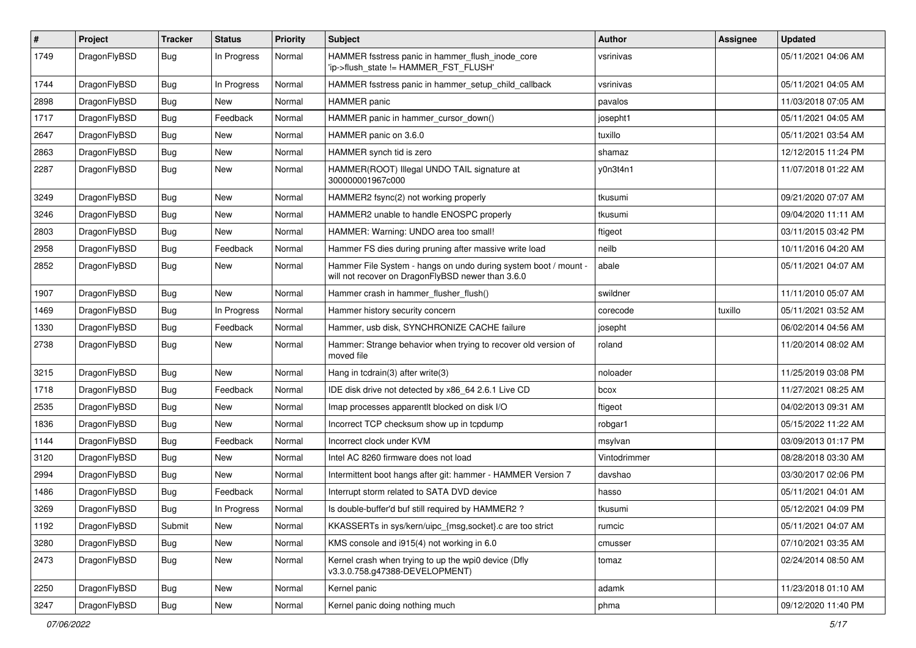| $\sharp$ | Project      | <b>Tracker</b> | <b>Status</b> | <b>Priority</b> | Subject                                                                                                              | <b>Author</b> | <b>Assignee</b> | <b>Updated</b>      |
|----------|--------------|----------------|---------------|-----------------|----------------------------------------------------------------------------------------------------------------------|---------------|-----------------|---------------------|
| 1749     | DragonFlyBSD | <b>Bug</b>     | In Progress   | Normal          | HAMMER fsstress panic in hammer_flush_inode_core<br>'ip->flush state != HAMMER FST FLUSH'                            | vsrinivas     |                 | 05/11/2021 04:06 AM |
| 1744     | DragonFlyBSD | <b>Bug</b>     | In Progress   | Normal          | HAMMER fsstress panic in hammer_setup_child_callback                                                                 | vsrinivas     |                 | 05/11/2021 04:05 AM |
| 2898     | DragonFlyBSD | <b>Bug</b>     | <b>New</b>    | Normal          | <b>HAMMER</b> panic                                                                                                  | pavalos       |                 | 11/03/2018 07:05 AM |
| 1717     | DragonFlyBSD | <b>Bug</b>     | Feedback      | Normal          | HAMMER panic in hammer_cursor_down()                                                                                 | josepht1      |                 | 05/11/2021 04:05 AM |
| 2647     | DragonFlyBSD | <b>Bug</b>     | New           | Normal          | HAMMER panic on 3.6.0                                                                                                | tuxillo       |                 | 05/11/2021 03:54 AM |
| 2863     | DragonFlyBSD | <b>Bug</b>     | New           | Normal          | HAMMER synch tid is zero                                                                                             | shamaz        |                 | 12/12/2015 11:24 PM |
| 2287     | DragonFlyBSD | <b>Bug</b>     | <b>New</b>    | Normal          | HAMMER(ROOT) Illegal UNDO TAIL signature at<br>300000001967c000                                                      | y0n3t4n1      |                 | 11/07/2018 01:22 AM |
| 3249     | DragonFlyBSD | <b>Bug</b>     | <b>New</b>    | Normal          | HAMMER2 fsync(2) not working properly                                                                                | tkusumi       |                 | 09/21/2020 07:07 AM |
| 3246     | DragonFlyBSD | <b>Bug</b>     | New           | Normal          | HAMMER2 unable to handle ENOSPC properly                                                                             | tkusumi       |                 | 09/04/2020 11:11 AM |
| 2803     | DragonFlyBSD | <b>Bug</b>     | New           | Normal          | HAMMER: Warning: UNDO area too small!                                                                                | ftigeot       |                 | 03/11/2015 03:42 PM |
| 2958     | DragonFlyBSD | <b>Bug</b>     | Feedback      | Normal          | Hammer FS dies during pruning after massive write load                                                               | neilb         |                 | 10/11/2016 04:20 AM |
| 2852     | DragonFlyBSD | <b>Bug</b>     | <b>New</b>    | Normal          | Hammer File System - hangs on undo during system boot / mount -<br>will not recover on DragonFlyBSD newer than 3.6.0 | abale         |                 | 05/11/2021 04:07 AM |
| 1907     | DragonFlyBSD | <b>Bug</b>     | <b>New</b>    | Normal          | Hammer crash in hammer_flusher_flush()                                                                               | swildner      |                 | 11/11/2010 05:07 AM |
| 1469     | DragonFlyBSD | <b>Bug</b>     | In Progress   | Normal          | Hammer history security concern                                                                                      | corecode      | tuxillo         | 05/11/2021 03:52 AM |
| 1330     | DragonFlyBSD | <b>Bug</b>     | Feedback      | Normal          | Hammer, usb disk, SYNCHRONIZE CACHE failure                                                                          | josepht       |                 | 06/02/2014 04:56 AM |
| 2738     | DragonFlyBSD | <b>Bug</b>     | New           | Normal          | Hammer: Strange behavior when trying to recover old version of<br>moved file                                         | roland        |                 | 11/20/2014 08:02 AM |
| 3215     | DragonFlyBSD | <b>Bug</b>     | <b>New</b>    | Normal          | Hang in tcdrain(3) after write(3)                                                                                    | noloader      |                 | 11/25/2019 03:08 PM |
| 1718     | DragonFlyBSD | <b>Bug</b>     | Feedback      | Normal          | IDE disk drive not detected by x86 64 2.6.1 Live CD                                                                  | bcox          |                 | 11/27/2021 08:25 AM |
| 2535     | DragonFlyBSD | <b>Bug</b>     | New           | Normal          | Imap processes apparentlt blocked on disk I/O                                                                        | ftigeot       |                 | 04/02/2013 09:31 AM |
| 1836     | DragonFlyBSD | <b>Bug</b>     | <b>New</b>    | Normal          | Incorrect TCP checksum show up in tcpdump                                                                            | robgar1       |                 | 05/15/2022 11:22 AM |
| 1144     | DragonFlyBSD | <b>Bug</b>     | Feedback      | Normal          | Incorrect clock under KVM                                                                                            | msylvan       |                 | 03/09/2013 01:17 PM |
| 3120     | DragonFlyBSD | Bug            | New           | Normal          | Intel AC 8260 firmware does not load                                                                                 | Vintodrimmer  |                 | 08/28/2018 03:30 AM |
| 2994     | DragonFlyBSD | <b>Bug</b>     | New           | Normal          | Intermittent boot hangs after git: hammer - HAMMER Version 7                                                         | davshao       |                 | 03/30/2017 02:06 PM |
| 1486     | DragonFlyBSD | <b>Bug</b>     | Feedback      | Normal          | Interrupt storm related to SATA DVD device                                                                           | hasso         |                 | 05/11/2021 04:01 AM |
| 3269     | DragonFlyBSD | <b>Bug</b>     | In Progress   | Normal          | Is double-buffer'd buf still required by HAMMER2?                                                                    | tkusumi       |                 | 05/12/2021 04:09 PM |
| 1192     | DragonFlyBSD | Submit         | New           | Normal          | KKASSERTs in sys/kern/uipc_{msg,socket}.c are too strict                                                             | rumcic        |                 | 05/11/2021 04:07 AM |
| 3280     | DragonFlyBSD | <b>Bug</b>     | <b>New</b>    | Normal          | KMS console and i915(4) not working in 6.0                                                                           | cmusser       |                 | 07/10/2021 03:35 AM |
| 2473     | DragonFlyBSD | <b>Bug</b>     | New           | Normal          | Kernel crash when trying to up the wpi0 device (Dfly<br>v3.3.0.758.g47388-DEVELOPMENT)                               | tomaz         |                 | 02/24/2014 08:50 AM |
| 2250     | DragonFlyBSD | Bug            | <b>New</b>    | Normal          | Kernel panic                                                                                                         | adamk         |                 | 11/23/2018 01:10 AM |
| 3247     | DragonFlyBSD | <b>Bug</b>     | New           | Normal          | Kernel panic doing nothing much                                                                                      | phma          |                 | 09/12/2020 11:40 PM |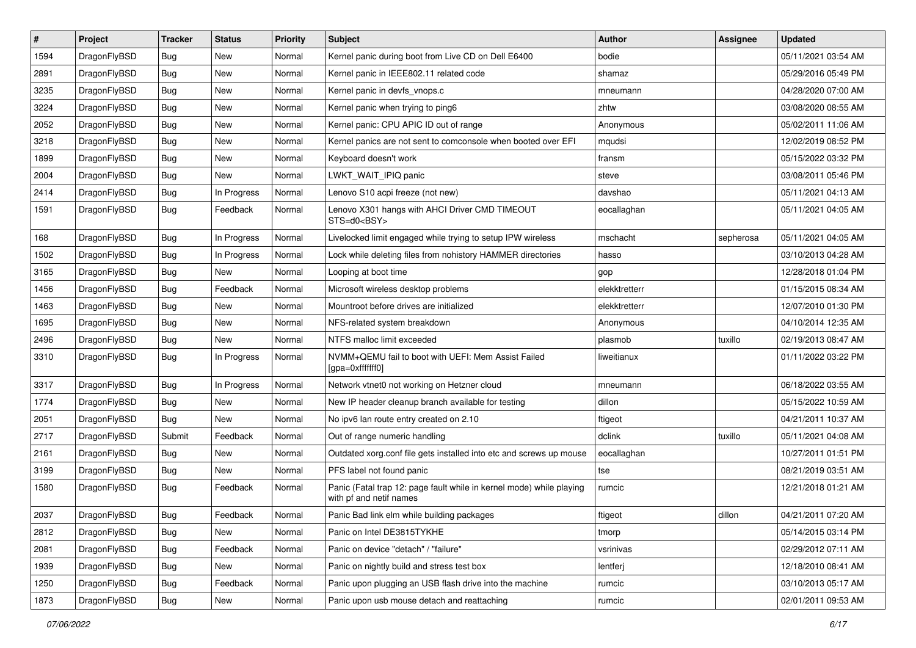| $\sharp$ | Project      | <b>Tracker</b> | <b>Status</b> | <b>Priority</b> | Subject                                                                                         | <b>Author</b> | Assignee  | <b>Updated</b>      |
|----------|--------------|----------------|---------------|-----------------|-------------------------------------------------------------------------------------------------|---------------|-----------|---------------------|
| 1594     | DragonFlyBSD | <b>Bug</b>     | <b>New</b>    | Normal          | Kernel panic during boot from Live CD on Dell E6400                                             | bodie         |           | 05/11/2021 03:54 AM |
| 2891     | DragonFlyBSD | Bug            | New           | Normal          | Kernel panic in IEEE802.11 related code                                                         | shamaz        |           | 05/29/2016 05:49 PM |
| 3235     | DragonFlyBSD | <b>Bug</b>     | New           | Normal          | Kernel panic in devfs vnops.c                                                                   | mneumann      |           | 04/28/2020 07:00 AM |
| 3224     | DragonFlyBSD | <b>Bug</b>     | <b>New</b>    | Normal          | Kernel panic when trying to ping6                                                               | zhtw          |           | 03/08/2020 08:55 AM |
| 2052     | DragonFlyBSD | Bug            | <b>New</b>    | Normal          | Kernel panic: CPU APIC ID out of range                                                          | Anonymous     |           | 05/02/2011 11:06 AM |
| 3218     | DragonFlyBSD | <b>Bug</b>     | <b>New</b>    | Normal          | Kernel panics are not sent to comconsole when booted over EFI                                   | mqudsi        |           | 12/02/2019 08:52 PM |
| 1899     | DragonFlyBSD | <b>Bug</b>     | New           | Normal          | Keyboard doesn't work                                                                           | fransm        |           | 05/15/2022 03:32 PM |
| 2004     | DragonFlyBSD | <b>Bug</b>     | New           | Normal          | LWKT WAIT IPIQ panic                                                                            | steve         |           | 03/08/2011 05:46 PM |
| 2414     | DragonFlyBSD | <b>Bug</b>     | In Progress   | Normal          | Lenovo S10 acpi freeze (not new)                                                                | davshao       |           | 05/11/2021 04:13 AM |
| 1591     | DragonFlyBSD | Bug            | Feedback      | Normal          | Lenovo X301 hangs with AHCI Driver CMD TIMEOUT<br>STS=d0 <bsy></bsy>                            | eocallaghan   |           | 05/11/2021 04:05 AM |
| 168      | DragonFlyBSD | Bug            | In Progress   | Normal          | Livelocked limit engaged while trying to setup IPW wireless                                     | mschacht      | sepherosa | 05/11/2021 04:05 AM |
| 1502     | DragonFlyBSD | <b>Bug</b>     | In Progress   | Normal          | Lock while deleting files from nohistory HAMMER directories                                     | hasso         |           | 03/10/2013 04:28 AM |
| 3165     | DragonFlyBSD | <b>Bug</b>     | New           | Normal          | Looping at boot time                                                                            | gop           |           | 12/28/2018 01:04 PM |
| 1456     | DragonFlyBSD | Bug            | Feedback      | Normal          | Microsoft wireless desktop problems                                                             | elekktretterr |           | 01/15/2015 08:34 AM |
| 1463     | DragonFlyBSD | <b>Bug</b>     | New           | Normal          | Mountroot before drives are initialized                                                         | elekktretterr |           | 12/07/2010 01:30 PM |
| 1695     | DragonFlyBSD | <b>Bug</b>     | New           | Normal          | NFS-related system breakdown                                                                    | Anonymous     |           | 04/10/2014 12:35 AM |
| 2496     | DragonFlyBSD | Bug            | <b>New</b>    | Normal          | NTFS malloc limit exceeded                                                                      | plasmob       | tuxillo   | 02/19/2013 08:47 AM |
| 3310     | DragonFlyBSD | <b>Bug</b>     | In Progress   | Normal          | NVMM+QEMU fail to boot with UEFI: Mem Assist Failed<br>[gpa=0xfffffff0]                         | liweitianux   |           | 01/11/2022 03:22 PM |
| 3317     | DragonFlyBSD | Bug            | In Progress   | Normal          | Network vtnet0 not working on Hetzner cloud                                                     | mneumann      |           | 06/18/2022 03:55 AM |
| 1774     | DragonFlyBSD | Bug            | New           | Normal          | New IP header cleanup branch available for testing                                              | dillon        |           | 05/15/2022 10:59 AM |
| 2051     | DragonFlyBSD | Bug            | New           | Normal          | No ipv6 lan route entry created on 2.10                                                         | ftigeot       |           | 04/21/2011 10:37 AM |
| 2717     | DragonFlyBSD | Submit         | Feedback      | Normal          | Out of range numeric handling                                                                   | dclink        | tuxillo   | 05/11/2021 04:08 AM |
| 2161     | DragonFlyBSD | Bug            | New           | Normal          | Outdated xorg.conf file gets installed into etc and screws up mouse                             | eocallaghan   |           | 10/27/2011 01:51 PM |
| 3199     | DragonFlyBSD | Bug            | New           | Normal          | PFS label not found panic                                                                       | tse           |           | 08/21/2019 03:51 AM |
| 1580     | DragonFlyBSD | Bug            | Feedback      | Normal          | Panic (Fatal trap 12: page fault while in kernel mode) while playing<br>with pf and netif names | rumcic        |           | 12/21/2018 01:21 AM |
| 2037     | DragonFlyBSD | Bug            | Feedback      | Normal          | Panic Bad link elm while building packages                                                      | ftigeot       | dillon    | 04/21/2011 07:20 AM |
| 2812     | DragonFlyBSD | <b>Bug</b>     | New           | Normal          | Panic on Intel DE3815TYKHE                                                                      | tmorp         |           | 05/14/2015 03:14 PM |
| 2081     | DragonFlyBSD | Bug            | Feedback      | Normal          | Panic on device "detach" / "failure"                                                            | vsrinivas     |           | 02/29/2012 07:11 AM |
| 1939     | DragonFlyBSD | Bug            | New           | Normal          | Panic on nightly build and stress test box                                                      | lentferj      |           | 12/18/2010 08:41 AM |
| 1250     | DragonFlyBSD | Bug            | Feedback      | Normal          | Panic upon plugging an USB flash drive into the machine                                         | rumcic        |           | 03/10/2013 05:17 AM |
| 1873     | DragonFlyBSD | <b>Bug</b>     | New           | Normal          | Panic upon usb mouse detach and reattaching                                                     | rumcic        |           | 02/01/2011 09:53 AM |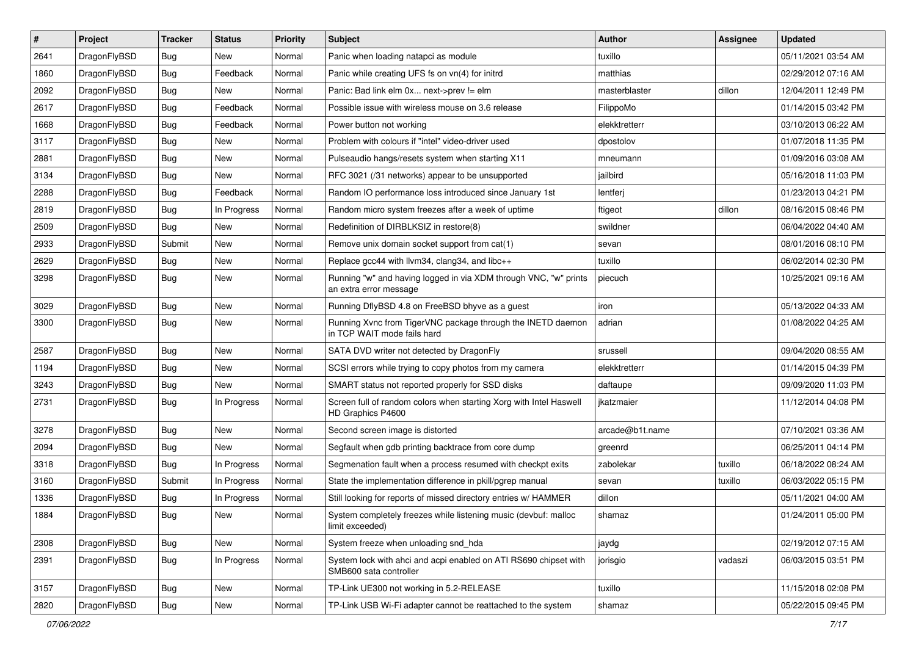| $\#$ | Project      | <b>Tracker</b> | <b>Status</b> | <b>Priority</b> | <b>Subject</b>                                                                             | <b>Author</b>   | Assignee | <b>Updated</b>      |
|------|--------------|----------------|---------------|-----------------|--------------------------------------------------------------------------------------------|-----------------|----------|---------------------|
| 2641 | DragonFlyBSD | Bug            | New           | Normal          | Panic when loading natapci as module                                                       | tuxillo         |          | 05/11/2021 03:54 AM |
| 1860 | DragonFlyBSD | Bug            | Feedback      | Normal          | Panic while creating UFS fs on vn(4) for initrd                                            | matthias        |          | 02/29/2012 07:16 AM |
| 2092 | DragonFlyBSD | Bug            | New           | Normal          | Panic: Bad link elm 0x next->prev != elm                                                   | masterblaster   | dillon   | 12/04/2011 12:49 PM |
| 2617 | DragonFlyBSD | Bug            | Feedback      | Normal          | Possible issue with wireless mouse on 3.6 release                                          | FilippoMo       |          | 01/14/2015 03:42 PM |
| 1668 | DragonFlyBSD | Bug            | Feedback      | Normal          | Power button not working                                                                   | elekktretterr   |          | 03/10/2013 06:22 AM |
| 3117 | DragonFlyBSD | Bug            | New           | Normal          | Problem with colours if "intel" video-driver used                                          | dpostolov       |          | 01/07/2018 11:35 PM |
| 2881 | DragonFlyBSD | Bug            | New           | Normal          | Pulseaudio hangs/resets system when starting X11                                           | mneumann        |          | 01/09/2016 03:08 AM |
| 3134 | DragonFlyBSD | Bug            | New           | Normal          | RFC 3021 (/31 networks) appear to be unsupported                                           | jailbird        |          | 05/16/2018 11:03 PM |
| 2288 | DragonFlyBSD | Bug            | Feedback      | Normal          | Random IO performance loss introduced since January 1st                                    | lentferj        |          | 01/23/2013 04:21 PM |
| 2819 | DragonFlyBSD | Bug            | In Progress   | Normal          | Random micro system freezes after a week of uptime                                         | ftigeot         | dillon   | 08/16/2015 08:46 PM |
| 2509 | DragonFlyBSD | Bug            | New           | Normal          | Redefinition of DIRBLKSIZ in restore(8)                                                    | swildner        |          | 06/04/2022 04:40 AM |
| 2933 | DragonFlyBSD | Submit         | <b>New</b>    | Normal          | Remove unix domain socket support from cat(1)                                              | sevan           |          | 08/01/2016 08:10 PM |
| 2629 | DragonFlyBSD | Bug            | New           | Normal          | Replace gcc44 with llvm34, clang34, and libc++                                             | tuxillo         |          | 06/02/2014 02:30 PM |
| 3298 | DragonFlyBSD | Bug            | <b>New</b>    | Normal          | Running "w" and having logged in via XDM through VNC, "w" prints<br>an extra error message | piecuch         |          | 10/25/2021 09:16 AM |
| 3029 | DragonFlyBSD | Bug            | New           | Normal          | Running DflyBSD 4.8 on FreeBSD bhyve as a guest                                            | iron            |          | 05/13/2022 04:33 AM |
| 3300 | DragonFlyBSD | Bug            | New           | Normal          | Running Xvnc from TigerVNC package through the INETD daemon<br>in TCP WAIT mode fails hard | adrian          |          | 01/08/2022 04:25 AM |
| 2587 | DragonFlyBSD | Bug            | New           | Normal          | SATA DVD writer not detected by DragonFly                                                  | srussell        |          | 09/04/2020 08:55 AM |
| 1194 | DragonFlyBSD | Bug            | New           | Normal          | SCSI errors while trying to copy photos from my camera                                     | elekktretterr   |          | 01/14/2015 04:39 PM |
| 3243 | DragonFlyBSD | Bug            | <b>New</b>    | Normal          | SMART status not reported properly for SSD disks                                           | daftaupe        |          | 09/09/2020 11:03 PM |
| 2731 | DragonFlyBSD | Bug            | In Progress   | Normal          | Screen full of random colors when starting Xorg with Intel Haswell<br>HD Graphics P4600    | jkatzmaier      |          | 11/12/2014 04:08 PM |
| 3278 | DragonFlyBSD | <b>Bug</b>     | New           | Normal          | Second screen image is distorted                                                           | arcade@b1t.name |          | 07/10/2021 03:36 AM |
| 2094 | DragonFlyBSD | <b>Bug</b>     | New           | Normal          | Segfault when gdb printing backtrace from core dump                                        | greenrd         |          | 06/25/2011 04:14 PM |
| 3318 | DragonFlyBSD | <b>Bug</b>     | In Progress   | Normal          | Segmenation fault when a process resumed with checkpt exits                                | zabolekar       | tuxillo  | 06/18/2022 08:24 AM |
| 3160 | DragonFlyBSD | Submit         | In Progress   | Normal          | State the implementation difference in pkill/pgrep manual                                  | sevan           | tuxillo  | 06/03/2022 05:15 PM |
| 1336 | DragonFlyBSD | <b>Bug</b>     | In Progress   | Normal          | Still looking for reports of missed directory entries w/ HAMMER                            | dillon          |          | 05/11/2021 04:00 AM |
| 1884 | DragonFlyBSD | <b>Bug</b>     | New           | Normal          | System completely freezes while listening music (devbuf: malloc<br>limit exceeded)         | shamaz          |          | 01/24/2011 05:00 PM |
| 2308 | DragonFlyBSD | <b>Bug</b>     | New           | Normal          | System freeze when unloading snd_hda                                                       | jaydg           |          | 02/19/2012 07:15 AM |
| 2391 | DragonFlyBSD | Bug            | In Progress   | Normal          | System lock with ahci and acpi enabled on ATI RS690 chipset with<br>SMB600 sata controller | jorisgio        | vadaszi  | 06/03/2015 03:51 PM |
| 3157 | DragonFlyBSD | <b>Bug</b>     | New           | Normal          | TP-Link UE300 not working in 5.2-RELEASE                                                   | tuxillo         |          | 11/15/2018 02:08 PM |
| 2820 | DragonFlyBSD | <b>Bug</b>     | New           | Normal          | TP-Link USB Wi-Fi adapter cannot be reattached to the system                               | shamaz          |          | 05/22/2015 09:45 PM |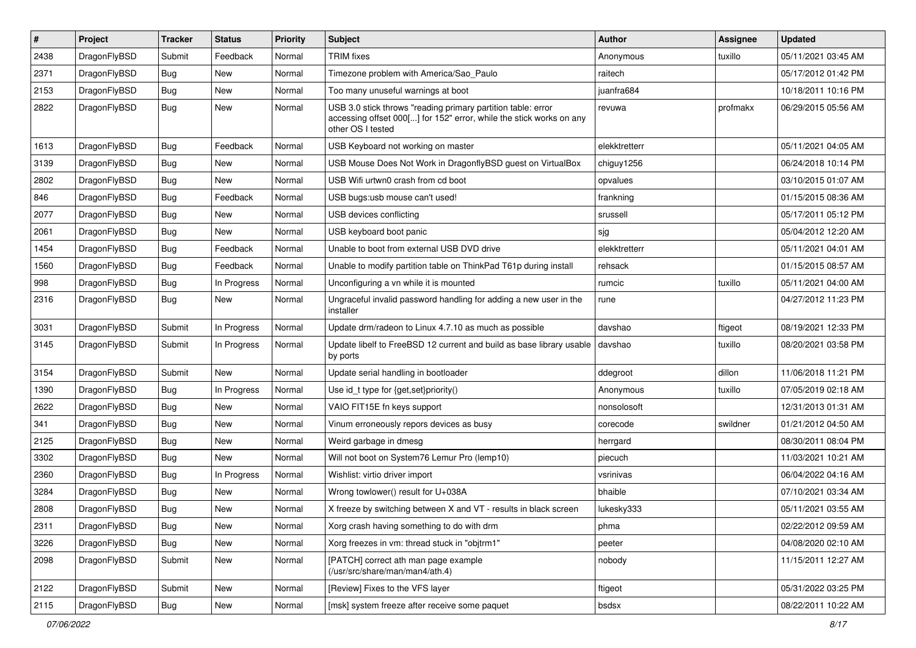| $\sharp$ | Project      | <b>Tracker</b> | <b>Status</b> | <b>Priority</b> | Subject                                                                                                                                                  | <b>Author</b> | Assignee | <b>Updated</b>      |
|----------|--------------|----------------|---------------|-----------------|----------------------------------------------------------------------------------------------------------------------------------------------------------|---------------|----------|---------------------|
| 2438     | DragonFlyBSD | Submit         | Feedback      | Normal          | <b>TRIM</b> fixes                                                                                                                                        | Anonymous     | tuxillo  | 05/11/2021 03:45 AM |
| 2371     | DragonFlyBSD | <b>Bug</b>     | New           | Normal          | Timezone problem with America/Sao_Paulo                                                                                                                  | raitech       |          | 05/17/2012 01:42 PM |
| 2153     | DragonFlyBSD | <b>Bug</b>     | New           | Normal          | Too many unuseful warnings at boot                                                                                                                       | juanfra684    |          | 10/18/2011 10:16 PM |
| 2822     | DragonFlyBSD | <b>Bug</b>     | New           | Normal          | USB 3.0 stick throws "reading primary partition table: error<br>accessing offset 000[] for 152" error, while the stick works on any<br>other OS I tested | revuwa        | profmakx | 06/29/2015 05:56 AM |
| 1613     | DragonFlyBSD | <b>Bug</b>     | Feedback      | Normal          | USB Keyboard not working on master                                                                                                                       | elekktretterr |          | 05/11/2021 04:05 AM |
| 3139     | DragonFlyBSD | <b>Bug</b>     | New           | Normal          | USB Mouse Does Not Work in DragonflyBSD guest on VirtualBox                                                                                              | chiguy1256    |          | 06/24/2018 10:14 PM |
| 2802     | DragonFlyBSD | <b>Bug</b>     | New           | Normal          | USB Wifi urtwn0 crash from cd boot                                                                                                                       | opvalues      |          | 03/10/2015 01:07 AM |
| 846      | DragonFlyBSD | <b>Bug</b>     | Feedback      | Normal          | USB bugs:usb mouse can't used!                                                                                                                           | frankning     |          | 01/15/2015 08:36 AM |
| 2077     | DragonFlyBSD | <b>Bug</b>     | New           | Normal          | USB devices conflicting                                                                                                                                  | srussell      |          | 05/17/2011 05:12 PM |
| 2061     | DragonFlyBSD | <b>Bug</b>     | New           | Normal          | USB keyboard boot panic                                                                                                                                  | sjg           |          | 05/04/2012 12:20 AM |
| 1454     | DragonFlyBSD | <b>Bug</b>     | Feedback      | Normal          | Unable to boot from external USB DVD drive                                                                                                               | elekktretterr |          | 05/11/2021 04:01 AM |
| 1560     | DragonFlyBSD | <b>Bug</b>     | Feedback      | Normal          | Unable to modify partition table on ThinkPad T61p during install                                                                                         | rehsack       |          | 01/15/2015 08:57 AM |
| 998      | DragonFlyBSD | <b>Bug</b>     | In Progress   | Normal          | Unconfiguring a vn while it is mounted                                                                                                                   | rumcic        | tuxillo  | 05/11/2021 04:00 AM |
| 2316     | DragonFlyBSD | <b>Bug</b>     | New           | Normal          | Ungraceful invalid password handling for adding a new user in the<br>installer                                                                           | rune          |          | 04/27/2012 11:23 PM |
| 3031     | DragonFlyBSD | Submit         | In Progress   | Normal          | Update drm/radeon to Linux 4.7.10 as much as possible                                                                                                    | davshao       | ftigeot  | 08/19/2021 12:33 PM |
| 3145     | DragonFlyBSD | Submit         | In Progress   | Normal          | Update libelf to FreeBSD 12 current and build as base library usable<br>by ports                                                                         | davshao       | tuxillo  | 08/20/2021 03:58 PM |
| 3154     | DragonFlyBSD | Submit         | <b>New</b>    | Normal          | Update serial handling in bootloader                                                                                                                     | ddegroot      | dillon   | 11/06/2018 11:21 PM |
| 1390     | DragonFlyBSD | <b>Bug</b>     | In Progress   | Normal          | Use id_t type for {get,set}priority()                                                                                                                    | Anonymous     | tuxillo  | 07/05/2019 02:18 AM |
| 2622     | DragonFlyBSD | <b>Bug</b>     | <b>New</b>    | Normal          | VAIO FIT15E fn keys support                                                                                                                              | nonsolosoft   |          | 12/31/2013 01:31 AM |
| 341      | DragonFlyBSD | <b>Bug</b>     | <b>New</b>    | Normal          | Vinum erroneously repors devices as busy                                                                                                                 | corecode      | swildner | 01/21/2012 04:50 AM |
| 2125     | DragonFlyBSD | <b>Bug</b>     | New           | Normal          | Weird garbage in dmesg                                                                                                                                   | herrgard      |          | 08/30/2011 08:04 PM |
| 3302     | DragonFlyBSD | <b>Bug</b>     | New           | Normal          | Will not boot on System76 Lemur Pro (lemp10)                                                                                                             | piecuch       |          | 11/03/2021 10:21 AM |
| 2360     | DragonFlyBSD | <b>Bug</b>     | In Progress   | Normal          | Wishlist: virtio driver import                                                                                                                           | vsrinivas     |          | 06/04/2022 04:16 AM |
| 3284     | DragonFlyBSD | <b>Bug</b>     | New           | Normal          | Wrong towlower() result for U+038A                                                                                                                       | bhaible       |          | 07/10/2021 03:34 AM |
| 2808     | DragonFlyBSD | Bug            | New           | Normal          | X freeze by switching between X and VT - results in black screen                                                                                         | lukesky333    |          | 05/11/2021 03:55 AM |
| 2311     | DragonFlyBSD | <b>Bug</b>     | New           | Normal          | Xorg crash having something to do with drm                                                                                                               | phma          |          | 02/22/2012 09:59 AM |
| 3226     | DragonFlyBSD | <b>Bug</b>     | <b>New</b>    | Normal          | Xorg freezes in vm: thread stuck in "objtrm1"                                                                                                            | peeter        |          | 04/08/2020 02:10 AM |
| 2098     | DragonFlyBSD | Submit         | New           | Normal          | [PATCH] correct ath man page example<br>(/usr/src/share/man/man4/ath.4)                                                                                  | nobody        |          | 11/15/2011 12:27 AM |
| 2122     | DragonFlyBSD | Submit         | <b>New</b>    | Normal          | [Review] Fixes to the VFS layer                                                                                                                          | ftigeot       |          | 05/31/2022 03:25 PM |
| 2115     | DragonFlyBSD | <b>Bug</b>     | New           | Normal          | [msk] system freeze after receive some paquet                                                                                                            | bsdsx         |          | 08/22/2011 10:22 AM |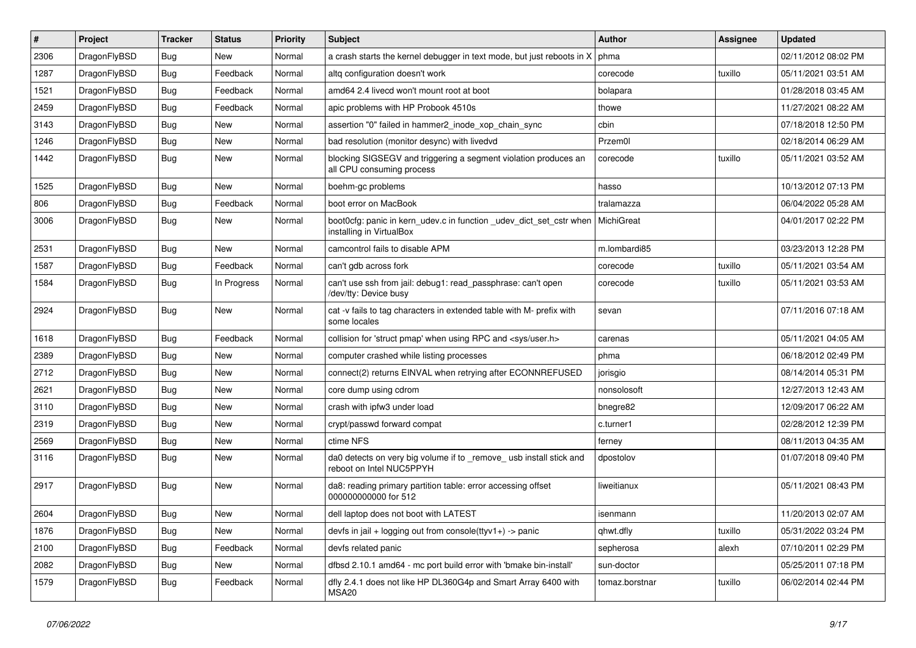| $\#$ | Project      | <b>Tracker</b> | <b>Status</b> | <b>Priority</b> | Subject                                                                                         | <b>Author</b>  | Assignee | <b>Updated</b>      |
|------|--------------|----------------|---------------|-----------------|-------------------------------------------------------------------------------------------------|----------------|----------|---------------------|
| 2306 | DragonFlyBSD | <b>Bug</b>     | New           | Normal          | a crash starts the kernel debugger in text mode, but just reboots in X                          | phma           |          | 02/11/2012 08:02 PM |
| 1287 | DragonFlyBSD | <b>Bug</b>     | Feedback      | Normal          | altg configuration doesn't work                                                                 | corecode       | tuxillo  | 05/11/2021 03:51 AM |
| 1521 | DragonFlyBSD | <b>Bug</b>     | Feedback      | Normal          | amd64 2.4 livecd won't mount root at boot                                                       | bolapara       |          | 01/28/2018 03:45 AM |
| 2459 | DragonFlyBSD | <b>Bug</b>     | Feedback      | Normal          | apic problems with HP Probook 4510s                                                             | thowe          |          | 11/27/2021 08:22 AM |
| 3143 | DragonFlyBSD | <b>Bug</b>     | New           | Normal          | assertion "0" failed in hammer2 inode xop chain sync                                            | cbin           |          | 07/18/2018 12:50 PM |
| 1246 | DragonFlyBSD | <b>Bug</b>     | New           | Normal          | bad resolution (monitor desync) with livedvd                                                    | Przem0l        |          | 02/18/2014 06:29 AM |
| 1442 | DragonFlyBSD | <b>Bug</b>     | New           | Normal          | blocking SIGSEGV and triggering a segment violation produces an<br>all CPU consuming process    | corecode       | tuxillo  | 05/11/2021 03:52 AM |
| 1525 | DragonFlyBSD | <b>Bug</b>     | New           | Normal          | boehm-gc problems                                                                               | hasso          |          | 10/13/2012 07:13 PM |
| 806  | DragonFlyBSD | <b>Bug</b>     | Feedback      | Normal          | boot error on MacBook                                                                           | tralamazza     |          | 06/04/2022 05:28 AM |
| 3006 | DragonFlyBSD | <b>Bug</b>     | New           | Normal          | boot0cfg: panic in kern_udev.c in function _udev_dict_set_cstr when<br>installing in VirtualBox | MichiGreat     |          | 04/01/2017 02:22 PM |
| 2531 | DragonFlyBSD | Bug            | New           | Normal          | camcontrol fails to disable APM                                                                 | m.lombardi85   |          | 03/23/2013 12:28 PM |
| 1587 | DragonFlyBSD | <b>Bug</b>     | Feedback      | Normal          | can't gdb across fork                                                                           | corecode       | tuxillo  | 05/11/2021 03:54 AM |
| 1584 | DragonFlyBSD | <b>Bug</b>     | In Progress   | Normal          | can't use ssh from jail: debug1: read_passphrase: can't open<br>/dev/tty: Device busy           | corecode       | tuxillo  | 05/11/2021 03:53 AM |
| 2924 | DragonFlyBSD | <b>Bug</b>     | New           | Normal          | cat -v fails to tag characters in extended table with M- prefix with<br>some locales            | sevan          |          | 07/11/2016 07:18 AM |
| 1618 | DragonFlyBSD | <b>Bug</b>     | Feedback      | Normal          | collision for 'struct pmap' when using RPC and <sys user.h=""></sys>                            | carenas        |          | 05/11/2021 04:05 AM |
| 2389 | DragonFlyBSD | <b>Bug</b>     | <b>New</b>    | Normal          | computer crashed while listing processes                                                        | phma           |          | 06/18/2012 02:49 PM |
| 2712 | DragonFlyBSD | <b>Bug</b>     | <b>New</b>    | Normal          | connect(2) returns EINVAL when retrying after ECONNREFUSED                                      | jorisgio       |          | 08/14/2014 05:31 PM |
| 2621 | DragonFlyBSD | <b>Bug</b>     | New           | Normal          | core dump using cdrom                                                                           | nonsolosoft    |          | 12/27/2013 12:43 AM |
| 3110 | DragonFlyBSD | <b>Bug</b>     | New           | Normal          | crash with ipfw3 under load                                                                     | bnegre82       |          | 12/09/2017 06:22 AM |
| 2319 | DragonFlyBSD | <b>Bug</b>     | New           | Normal          | crypt/passwd forward compat                                                                     | c.turner1      |          | 02/28/2012 12:39 PM |
| 2569 | DragonFlyBSD | <b>Bug</b>     | <b>New</b>    | Normal          | ctime NFS                                                                                       | ferney         |          | 08/11/2013 04:35 AM |
| 3116 | DragonFlyBSD | <b>Bug</b>     | New           | Normal          | da0 detects on very big volume if to _remove_ usb install stick and<br>reboot on Intel NUC5PPYH | dpostolov      |          | 01/07/2018 09:40 PM |
| 2917 | DragonFlyBSD | <b>Bug</b>     | New           | Normal          | da8: reading primary partition table: error accessing offset<br>000000000000 for 512            | liweitianux    |          | 05/11/2021 08:43 PM |
| 2604 | DragonFlyBSD | Bug            | <b>New</b>    | Normal          | dell laptop does not boot with LATEST                                                           | isenmann       |          | 11/20/2013 02:07 AM |
| 1876 | DragonFlyBSD | Bug            | New           | Normal          | devfs in jail + logging out from console(ttyv1+) -> panic                                       | qhwt.dfly      | tuxillo  | 05/31/2022 03:24 PM |
| 2100 | DragonFlyBSD | <b>Bug</b>     | Feedback      | Normal          | devfs related panic                                                                             | sepherosa      | alexh    | 07/10/2011 02:29 PM |
| 2082 | DragonFlyBSD | <b>Bug</b>     | New           | Normal          | dfbsd 2.10.1 amd64 - mc port build error with 'bmake bin-install'                               | sun-doctor     |          | 05/25/2011 07:18 PM |
| 1579 | DragonFlyBSD | <b>Bug</b>     | Feedback      | Normal          | dfly 2.4.1 does not like HP DL360G4p and Smart Array 6400 with<br>MSA20                         | tomaz.borstnar | tuxillo  | 06/02/2014 02:44 PM |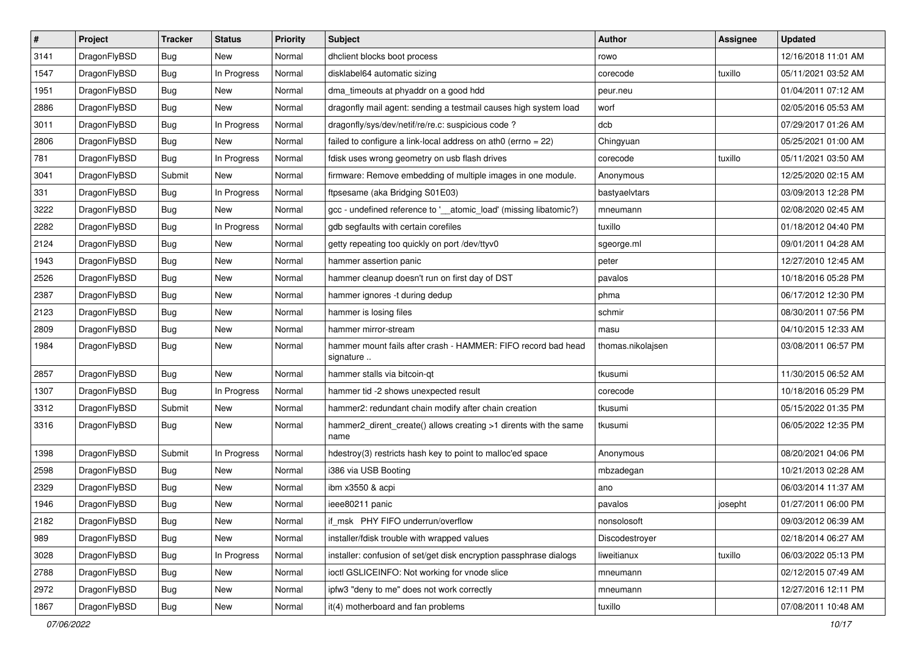| $\pmb{\#}$ | Project      | <b>Tracker</b> | <b>Status</b> | <b>Priority</b> | <b>Subject</b>                                                             | <b>Author</b>     | <b>Assignee</b> | <b>Updated</b>      |
|------------|--------------|----------------|---------------|-----------------|----------------------------------------------------------------------------|-------------------|-----------------|---------------------|
| 3141       | DragonFlyBSD | Bug            | New           | Normal          | dhclient blocks boot process                                               | rowo              |                 | 12/16/2018 11:01 AM |
| 1547       | DragonFlyBSD | Bug            | In Progress   | Normal          | disklabel64 automatic sizing                                               | corecode          | tuxillo         | 05/11/2021 03:52 AM |
| 1951       | DragonFlyBSD | Bug            | New           | Normal          | dma_timeouts at phyaddr on a good hdd                                      | peur.neu          |                 | 01/04/2011 07:12 AM |
| 2886       | DragonFlyBSD | Bug            | New           | Normal          | dragonfly mail agent: sending a testmail causes high system load           | worf              |                 | 02/05/2016 05:53 AM |
| 3011       | DragonFlyBSD | Bug            | In Progress   | Normal          | dragonfly/sys/dev/netif/re/re.c: suspicious code ?                         | dcb               |                 | 07/29/2017 01:26 AM |
| 2806       | DragonFlyBSD | <b>Bug</b>     | New           | Normal          | failed to configure a link-local address on ath0 (errno = 22)              | Chingyuan         |                 | 05/25/2021 01:00 AM |
| 781        | DragonFlyBSD | Bug            | In Progress   | Normal          | fdisk uses wrong geometry on usb flash drives                              | corecode          | tuxillo         | 05/11/2021 03:50 AM |
| 3041       | DragonFlyBSD | Submit         | New           | Normal          | firmware: Remove embedding of multiple images in one module.               | Anonymous         |                 | 12/25/2020 02:15 AM |
| 331        | DragonFlyBSD | Bug            | In Progress   | Normal          | ftpsesame (aka Bridging S01E03)                                            | bastyaelvtars     |                 | 03/09/2013 12:28 PM |
| 3222       | DragonFlyBSD | Bug            | New           | Normal          | gcc - undefined reference to '__atomic_load' (missing libatomic?)          | mneumann          |                 | 02/08/2020 02:45 AM |
| 2282       | DragonFlyBSD | <b>Bug</b>     | In Progress   | Normal          | gdb segfaults with certain corefiles                                       | tuxillo           |                 | 01/18/2012 04:40 PM |
| 2124       | DragonFlyBSD | Bug            | New           | Normal          | getty repeating too quickly on port /dev/ttyv0                             | sgeorge.ml        |                 | 09/01/2011 04:28 AM |
| 1943       | DragonFlyBSD | Bug            | <b>New</b>    | Normal          | hammer assertion panic                                                     | peter             |                 | 12/27/2010 12:45 AM |
| 2526       | DragonFlyBSD | Bug            | New           | Normal          | hammer cleanup doesn't run on first day of DST                             | pavalos           |                 | 10/18/2016 05:28 PM |
| 2387       | DragonFlyBSD | Bug            | <b>New</b>    | Normal          | hammer ignores -t during dedup                                             | phma              |                 | 06/17/2012 12:30 PM |
| 2123       | DragonFlyBSD | Bug            | <b>New</b>    | Normal          | hammer is losing files                                                     | schmir            |                 | 08/30/2011 07:56 PM |
| 2809       | DragonFlyBSD | <b>Bug</b>     | <b>New</b>    | Normal          | hammer mirror-stream                                                       | masu              |                 | 04/10/2015 12:33 AM |
| 1984       | DragonFlyBSD | Bug            | New           | Normal          | hammer mount fails after crash - HAMMER: FIFO record bad head<br>signature | thomas.nikolajsen |                 | 03/08/2011 06:57 PM |
| 2857       | DragonFlyBSD | <b>Bug</b>     | <b>New</b>    | Normal          | hammer stalls via bitcoin-qt                                               | tkusumi           |                 | 11/30/2015 06:52 AM |
| 1307       | DragonFlyBSD | Bug            | In Progress   | Normal          | hammer tid -2 shows unexpected result                                      | corecode          |                 | 10/18/2016 05:29 PM |
| 3312       | DragonFlyBSD | Submit         | New           | Normal          | hammer2: redundant chain modify after chain creation                       | tkusumi           |                 | 05/15/2022 01:35 PM |
| 3316       | DragonFlyBSD | <b>Bug</b>     | <b>New</b>    | Normal          | hammer2_dirent_create() allows creating >1 dirents with the same<br>name   | tkusumi           |                 | 06/05/2022 12:35 PM |
| 1398       | DragonFlyBSD | Submit         | In Progress   | Normal          | hdestroy(3) restricts hash key to point to malloc'ed space                 | Anonymous         |                 | 08/20/2021 04:06 PM |
| 2598       | DragonFlyBSD | Bug            | <b>New</b>    | Normal          | i386 via USB Booting                                                       | mbzadegan         |                 | 10/21/2013 02:28 AM |
| 2329       | DragonFlyBSD | Bug            | New           | Normal          | ibm x3550 & acpi                                                           | ano               |                 | 06/03/2014 11:37 AM |
| 1946       | DragonFlyBSD | Bug            | <b>New</b>    | Normal          | ieee80211 panic                                                            | pavalos           | josepht         | 01/27/2011 06:00 PM |
| 2182       | DragonFlyBSD | Bug            | New           | Normal          | if_msk PHY FIFO underrun/overflow                                          | nonsolosoft       |                 | 09/03/2012 06:39 AM |
| 989        | DragonFlyBSD | <b>Bug</b>     | New           | Normal          | installer/fdisk trouble with wrapped values                                | Discodestroyer    |                 | 02/18/2014 06:27 AM |
| 3028       | DragonFlyBSD | Bug            | In Progress   | Normal          | installer: confusion of set/get disk encryption passphrase dialogs         | liweitianux       | tuxillo         | 06/03/2022 05:13 PM |
| 2788       | DragonFlyBSD | <b>Bug</b>     | New           | Normal          | ioctl GSLICEINFO: Not working for vnode slice                              | mneumann          |                 | 02/12/2015 07:49 AM |
| 2972       | DragonFlyBSD | <b>Bug</b>     | New           | Normal          | ipfw3 "deny to me" does not work correctly                                 | mneumann          |                 | 12/27/2016 12:11 PM |
| 1867       | DragonFlyBSD | <b>Bug</b>     | New           | Normal          | it(4) motherboard and fan problems                                         | tuxillo           |                 | 07/08/2011 10:48 AM |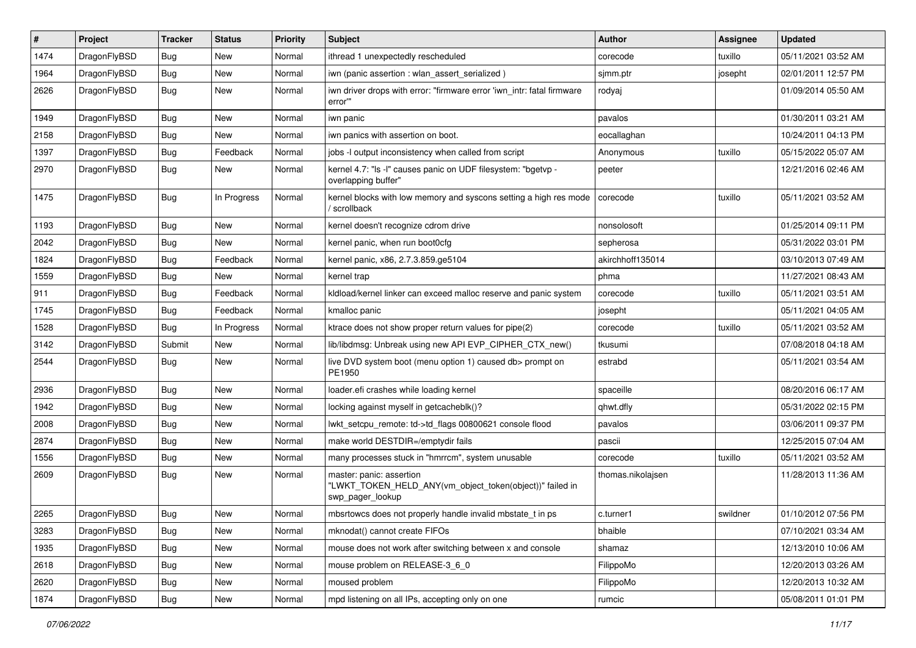| $\vert$ # | Project      | <b>Tracker</b> | <b>Status</b> | <b>Priority</b> | Subject                                                                                                  | <b>Author</b>     | Assignee | <b>Updated</b>      |
|-----------|--------------|----------------|---------------|-----------------|----------------------------------------------------------------------------------------------------------|-------------------|----------|---------------------|
| 1474      | DragonFlyBSD | <b>Bug</b>     | <b>New</b>    | Normal          | ithread 1 unexpectedly rescheduled                                                                       | corecode          | tuxillo  | 05/11/2021 03:52 AM |
| 1964      | DragonFlyBSD | <b>Bug</b>     | <b>New</b>    | Normal          | iwn (panic assertion : wlan_assert_serialized)                                                           | sjmm.ptr          | josepht  | 02/01/2011 12:57 PM |
| 2626      | DragonFlyBSD | <b>Bug</b>     | New           | Normal          | iwn driver drops with error: "firmware error 'iwn intr: fatal firmware<br>error"                         | rodyaj            |          | 01/09/2014 05:50 AM |
| 1949      | DragonFlyBSD | Bug            | <b>New</b>    | Normal          | iwn panic                                                                                                | pavalos           |          | 01/30/2011 03:21 AM |
| 2158      | DragonFlyBSD | <b>Bug</b>     | New           | Normal          | iwn panics with assertion on boot.                                                                       | eocallaghan       |          | 10/24/2011 04:13 PM |
| 1397      | DragonFlyBSD | Bug            | Feedback      | Normal          | jobs -I output inconsistency when called from script                                                     | Anonymous         | tuxillo  | 05/15/2022 05:07 AM |
| 2970      | DragonFlyBSD | <b>Bug</b>     | New           | Normal          | kernel 4.7: "Is -I" causes panic on UDF filesystem: "bgetvp -<br>overlapping buffer"                     | peeter            |          | 12/21/2016 02:46 AM |
| 1475      | DragonFlyBSD | Bug            | In Progress   | Normal          | kernel blocks with low memory and syscons setting a high res mode<br>' scrollback                        | corecode          | tuxillo  | 05/11/2021 03:52 AM |
| 1193      | DragonFlyBSD | Bug            | <b>New</b>    | Normal          | kernel doesn't recognize cdrom drive                                                                     | nonsolosoft       |          | 01/25/2014 09:11 PM |
| 2042      | DragonFlyBSD | Bug            | <b>New</b>    | Normal          | kernel panic, when run boot0cfg                                                                          | sepherosa         |          | 05/31/2022 03:01 PM |
| 1824      | DragonFlyBSD | <b>Bug</b>     | Feedback      | Normal          | kernel panic, x86, 2.7.3.859.ge5104                                                                      | akirchhoff135014  |          | 03/10/2013 07:49 AM |
| 1559      | DragonFlyBSD | Bug            | <b>New</b>    | Normal          | kernel trap                                                                                              | phma              |          | 11/27/2021 08:43 AM |
| 911       | DragonFlyBSD | <b>Bug</b>     | Feedback      | Normal          | kldload/kernel linker can exceed malloc reserve and panic system                                         | corecode          | tuxillo  | 05/11/2021 03:51 AM |
| 1745      | DragonFlyBSD | <b>Bug</b>     | Feedback      | Normal          | kmalloc panic                                                                                            | josepht           |          | 05/11/2021 04:05 AM |
| 1528      | DragonFlyBSD | <b>Bug</b>     | In Progress   | Normal          | ktrace does not show proper return values for pipe(2)                                                    | corecode          | tuxillo  | 05/11/2021 03:52 AM |
| 3142      | DragonFlyBSD | Submit         | New           | Normal          | lib/libdmsg: Unbreak using new API EVP_CIPHER_CTX_new()                                                  | tkusumi           |          | 07/08/2018 04:18 AM |
| 2544      | DragonFlyBSD | Bug            | <b>New</b>    | Normal          | live DVD system boot (menu option 1) caused db> prompt on<br>PE1950                                      | estrabd           |          | 05/11/2021 03:54 AM |
| 2936      | DragonFlyBSD | <b>Bug</b>     | New           | Normal          | loader.efi crashes while loading kernel                                                                  | spaceille         |          | 08/20/2016 06:17 AM |
| 1942      | DragonFlyBSD | Bug            | <b>New</b>    | Normal          | locking against myself in getcacheblk()?                                                                 | qhwt.dfly         |          | 05/31/2022 02:15 PM |
| 2008      | DragonFlyBSD | <b>Bug</b>     | New           | Normal          | lwkt setcpu remote: td->td flags 00800621 console flood                                                  | pavalos           |          | 03/06/2011 09:37 PM |
| 2874      | DragonFlyBSD | Bug            | <b>New</b>    | Normal          | make world DESTDIR=/emptydir fails                                                                       | pascii            |          | 12/25/2015 07:04 AM |
| 1556      | DragonFlyBSD | Bug            | <b>New</b>    | Normal          | many processes stuck in "hmrrcm", system unusable                                                        | corecode          | tuxillo  | 05/11/2021 03:52 AM |
| 2609      | DragonFlyBSD | <b>Bug</b>     | <b>New</b>    | Normal          | master: panic: assertion<br>"LWKT_TOKEN_HELD_ANY(vm_object_token(object))" failed in<br>swp_pager_lookup | thomas.nikolajsen |          | 11/28/2013 11:36 AM |
| 2265      | DragonFlyBSD | <b>Bug</b>     | New           | Normal          | mbsrtowcs does not properly handle invalid mbstate t in ps                                               | c.turner1         | swildner | 01/10/2012 07:56 PM |
| 3283      | DragonFlyBSD | Bug            | New           | Normal          | mknodat() cannot create FIFOs                                                                            | bhaible           |          | 07/10/2021 03:34 AM |
| 1935      | DragonFlyBSD | <b>Bug</b>     | New           | Normal          | mouse does not work after switching between x and console                                                | shamaz            |          | 12/13/2010 10:06 AM |
| 2618      | DragonFlyBSD | <b>Bug</b>     | New           | Normal          | mouse problem on RELEASE-3_6_0                                                                           | FilippoMo         |          | 12/20/2013 03:26 AM |
| 2620      | DragonFlyBSD | Bug            | New           | Normal          | moused problem                                                                                           | FilippoMo         |          | 12/20/2013 10:32 AM |
| 1874      | DragonFlyBSD | Bug            | New           | Normal          | mpd listening on all IPs, accepting only on one                                                          | rumcic            |          | 05/08/2011 01:01 PM |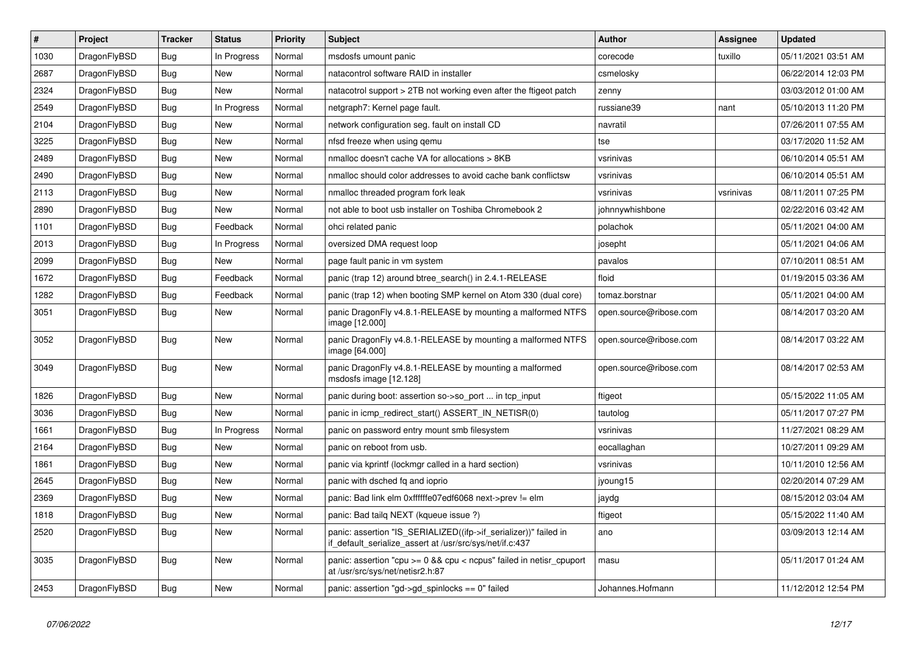| $\vert$ # | <b>Project</b> | <b>Tracker</b> | <b>Status</b> | Priority | <b>Subject</b>                                                                                                               | Author                 | Assignee  | <b>Updated</b>      |
|-----------|----------------|----------------|---------------|----------|------------------------------------------------------------------------------------------------------------------------------|------------------------|-----------|---------------------|
| 1030      | DragonFlyBSD   | Bug            | In Progress   | Normal   | msdosfs umount panic                                                                                                         | corecode               | tuxillo   | 05/11/2021 03:51 AM |
| 2687      | DragonFlyBSD   | Bug            | New           | Normal   | natacontrol software RAID in installer                                                                                       | csmelosky              |           | 06/22/2014 12:03 PM |
| 2324      | DragonFlyBSD   | <b>Bug</b>     | <b>New</b>    | Normal   | natacotrol support > 2TB not working even after the ftigeot patch                                                            | zenny                  |           | 03/03/2012 01:00 AM |
| 2549      | DragonFlyBSD   | Bug            | In Progress   | Normal   | netgraph7: Kernel page fault.                                                                                                | russiane39             | nant      | 05/10/2013 11:20 PM |
| 2104      | DragonFlyBSD   | <b>Bug</b>     | <b>New</b>    | Normal   | network configuration seg. fault on install CD                                                                               | navratil               |           | 07/26/2011 07:55 AM |
| 3225      | DragonFlyBSD   | <b>Bug</b>     | New           | Normal   | nfsd freeze when using gemu                                                                                                  | tse                    |           | 03/17/2020 11:52 AM |
| 2489      | DragonFlyBSD   | Bug            | New           | Normal   | nmalloc doesn't cache VA for allocations > 8KB                                                                               | vsrinivas              |           | 06/10/2014 05:51 AM |
| 2490      | DragonFlyBSD   | <b>Bug</b>     | New           | Normal   | nmalloc should color addresses to avoid cache bank conflictsw                                                                | vsrinivas              |           | 06/10/2014 05:51 AM |
| 2113      | DragonFlyBSD   | <b>Bug</b>     | New           | Normal   | nmalloc threaded program fork leak                                                                                           | vsrinivas              | vsrinivas | 08/11/2011 07:25 PM |
| 2890      | DragonFlyBSD   | <b>Bug</b>     | <b>New</b>    | Normal   | not able to boot usb installer on Toshiba Chromebook 2                                                                       | johnnywhishbone        |           | 02/22/2016 03:42 AM |
| 1101      | DragonFlyBSD   | <b>Bug</b>     | Feedback      | Normal   | ohci related panic                                                                                                           | polachok               |           | 05/11/2021 04:00 AM |
| 2013      | DragonFlyBSD   | Bug            | In Progress   | Normal   | oversized DMA request loop                                                                                                   | josepht                |           | 05/11/2021 04:06 AM |
| 2099      | DragonFlyBSD   | <b>Bug</b>     | New           | Normal   | page fault panic in vm system                                                                                                | pavalos                |           | 07/10/2011 08:51 AM |
| 1672      | DragonFlyBSD   | <b>Bug</b>     | Feedback      | Normal   | panic (trap 12) around btree search() in 2.4.1-RELEASE                                                                       | floid                  |           | 01/19/2015 03:36 AM |
| 1282      | DragonFlyBSD   | <b>Bug</b>     | Feedback      | Normal   | panic (trap 12) when booting SMP kernel on Atom 330 (dual core)                                                              | tomaz.borstnar         |           | 05/11/2021 04:00 AM |
| 3051      | DragonFlyBSD   | Bug            | <b>New</b>    | Normal   | panic DragonFly v4.8.1-RELEASE by mounting a malformed NTFS<br>image [12.000]                                                | open.source@ribose.com |           | 08/14/2017 03:20 AM |
| 3052      | DragonFlyBSD   | <b>Bug</b>     | <b>New</b>    | Normal   | panic DragonFly v4.8.1-RELEASE by mounting a malformed NTFS<br>image [64.000]                                                | open.source@ribose.com |           | 08/14/2017 03:22 AM |
| 3049      | DragonFlyBSD   | <b>Bug</b>     | <b>New</b>    | Normal   | panic DragonFly v4.8.1-RELEASE by mounting a malformed<br>msdosfs image [12.128]                                             | open.source@ribose.com |           | 08/14/2017 02:53 AM |
| 1826      | DragonFlyBSD   | <b>Bug</b>     | New           | Normal   | panic during boot: assertion so->so port  in tcp input                                                                       | ftigeot                |           | 05/15/2022 11:05 AM |
| 3036      | DragonFlyBSD   | <b>Bug</b>     | New           | Normal   | panic in icmp redirect start() ASSERT IN NETISR(0)                                                                           | tautolog               |           | 05/11/2017 07:27 PM |
| 1661      | DragonFlyBSD   | <b>Bug</b>     | In Progress   | Normal   | panic on password entry mount smb filesystem                                                                                 | vsrinivas              |           | 11/27/2021 08:29 AM |
| 2164      | DragonFlyBSD   | <b>Bug</b>     | <b>New</b>    | Normal   | panic on reboot from usb.                                                                                                    | eocallaghan            |           | 10/27/2011 09:29 AM |
| 1861      | DragonFlyBSD   | Bug            | New           | Normal   | panic via kprintf (lockmgr called in a hard section)                                                                         | vsrinivas              |           | 10/11/2010 12:56 AM |
| 2645      | DragonFlyBSD   | Bug            | New           | Normal   | panic with dsched fq and ioprio                                                                                              | jyoung15               |           | 02/20/2014 07:29 AM |
| 2369      | DragonFlyBSD   | <b>Bug</b>     | <b>New</b>    | Normal   | panic: Bad link elm 0xffffffe07edf6068 next->prev != elm                                                                     | jaydg                  |           | 08/15/2012 03:04 AM |
| 1818      | DragonFlyBSD   | <b>Bug</b>     | <b>New</b>    | Normal   | panic: Bad tailg NEXT (kqueue issue ?)                                                                                       | ftigeot                |           | 05/15/2022 11:40 AM |
| 2520      | DragonFlyBSD   | <b>Bug</b>     | <b>New</b>    | Normal   | panic: assertion "IS_SERIALIZED((ifp->if_serializer))" failed in<br>if default serialize assert at /usr/src/sys/net/if.c:437 | ano                    |           | 03/09/2013 12:14 AM |
| 3035      | DragonFlyBSD   | <b>Bug</b>     | New           | Normal   | panic: assertion "cpu $> = 0$ && cpu < ncpus" failed in netisr cpuport<br>at /usr/src/sys/net/netisr2.h:87                   | masu                   |           | 05/11/2017 01:24 AM |
| 2453      | DragonFlyBSD   | Bug            | New           | Normal   | panic: assertion "gd->gd_spinlocks == 0" failed                                                                              | Johannes.Hofmann       |           | 11/12/2012 12:54 PM |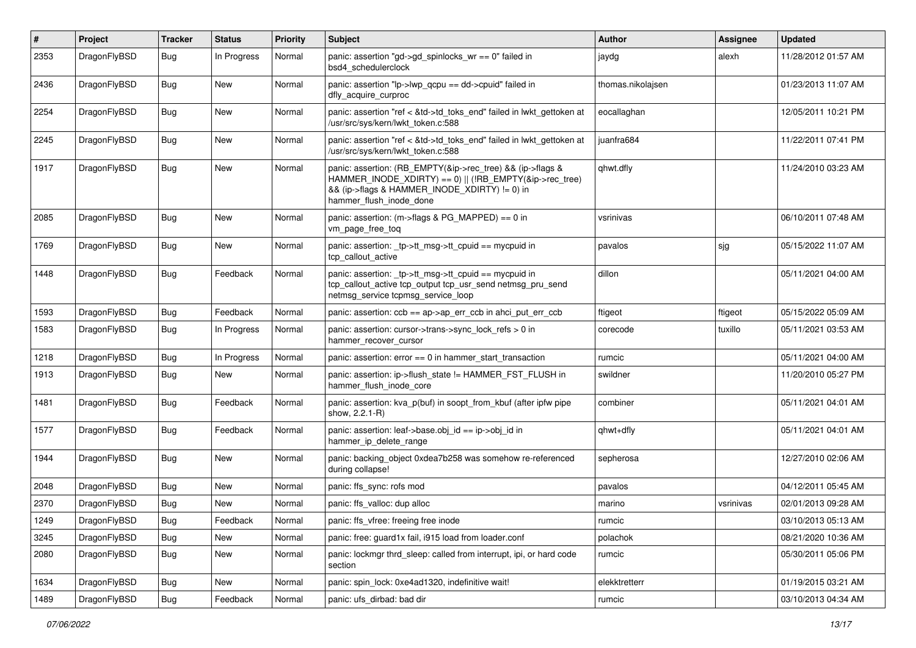| #    | Project      | <b>Tracker</b> | <b>Status</b> | <b>Priority</b> | <b>Subject</b>                                                                                                                                                                                    | <b>Author</b>     | Assignee  | <b>Updated</b>      |
|------|--------------|----------------|---------------|-----------------|---------------------------------------------------------------------------------------------------------------------------------------------------------------------------------------------------|-------------------|-----------|---------------------|
| 2353 | DragonFlyBSD | Bug            | In Progress   | Normal          | panic: assertion "gd->gd_spinlocks_wr == 0" failed in<br>bsd4 schedulerclock                                                                                                                      | jaydg             | alexh     | 11/28/2012 01:57 AM |
| 2436 | DragonFlyBSD | Bug            | New           | Normal          | panic: assertion "lp->lwp_qcpu == dd->cpuid" failed in<br>dfly_acquire_curproc                                                                                                                    | thomas.nikolajsen |           | 01/23/2013 11:07 AM |
| 2254 | DragonFlyBSD | Bug            | New           | Normal          | panic: assertion "ref < &td->td_toks_end" failed in lwkt_gettoken at<br>/usr/src/sys/kern/lwkt_token.c:588                                                                                        | eocallaghan       |           | 12/05/2011 10:21 PM |
| 2245 | DragonFlyBSD | <b>Bug</b>     | New           | Normal          | panic: assertion "ref < &td->td_toks_end" failed in lwkt_gettoken at<br>/usr/src/sys/kern/lwkt_token.c:588                                                                                        | juanfra684        |           | 11/22/2011 07:41 PM |
| 1917 | DragonFlyBSD | Bug            | <b>New</b>    | Normal          | panic: assertion: (RB_EMPTY(&ip->rec_tree) && (ip->flags &<br>HAMMER_INODE_XDIRTY) == 0)    (!RB_EMPTY(&ip->rec_tree)<br>&& (ip->flags & HAMMER_INODE_XDIRTY) != 0) in<br>hammer_flush_inode_done | qhwt.dfly         |           | 11/24/2010 03:23 AM |
| 2085 | DragonFlyBSD | Bug            | New           | Normal          | panic: assertion: (m->flags & PG_MAPPED) == 0 in<br>vm page free tog                                                                                                                              | vsrinivas         |           | 06/10/2011 07:48 AM |
| 1769 | DragonFlyBSD | Bug            | New           | Normal          | panic: assertion: _tp->tt_msg->tt_cpuid == mycpuid in<br>tcp_callout_active                                                                                                                       | pavalos           | sjg       | 05/15/2022 11:07 AM |
| 1448 | DragonFlyBSD | Bug            | Feedback      | Normal          | panic: assertion: tp->tt_msg->tt_cpuid == mycpuid in<br>tcp_callout_active tcp_output tcp_usr_send netmsg_pru_send<br>netmsg service tcpmsg service loop                                          | dillon            |           | 05/11/2021 04:00 AM |
| 1593 | DragonFlyBSD | <b>Bug</b>     | Feedback      | Normal          | panic: assertion: $ccb == ap > ap$ err $ccb$ in ahci put err $ccb$                                                                                                                                | ftigeot           | ftigeot   | 05/15/2022 05:09 AM |
| 1583 | DragonFlyBSD | Bug            | In Progress   | Normal          | panic: assertion: cursor->trans->sync_lock_refs > 0 in<br>hammer_recover_cursor                                                                                                                   | corecode          | tuxillo   | 05/11/2021 03:53 AM |
| 1218 | DragonFlyBSD | Bug            | In Progress   | Normal          | panic: assertion: error == 0 in hammer_start_transaction                                                                                                                                          | rumcic            |           | 05/11/2021 04:00 AM |
| 1913 | DragonFlyBSD | Bug            | New           | Normal          | panic: assertion: ip->flush state != HAMMER FST FLUSH in<br>hammer_flush_inode_core                                                                                                               | swildner          |           | 11/20/2010 05:27 PM |
| 1481 | DragonFlyBSD | Bug            | Feedback      | Normal          | panic: assertion: kva_p(buf) in soopt_from_kbuf (after ipfw pipe<br>show, 2.2.1-R)                                                                                                                | combiner          |           | 05/11/2021 04:01 AM |
| 1577 | DragonFlyBSD | Bug            | Feedback      | Normal          | panic: assertion: leaf->base.obj_id == ip->obj_id in<br>hammer_ip_delete_range                                                                                                                    | qhwt+dfly         |           | 05/11/2021 04:01 AM |
| 1944 | DragonFlyBSD | Bug            | New           | Normal          | panic: backing object 0xdea7b258 was somehow re-referenced<br>during collapse!                                                                                                                    | sepherosa         |           | 12/27/2010 02:06 AM |
| 2048 | DragonFlyBSD | Bug            | <b>New</b>    | Normal          | panic: ffs sync: rofs mod                                                                                                                                                                         | pavalos           |           | 04/12/2011 05:45 AM |
| 2370 | DragonFlyBSD | <b>Bug</b>     | New           | Normal          | panic: ffs valloc: dup alloc                                                                                                                                                                      | marino            | vsrinivas | 02/01/2013 09:28 AM |
| 1249 | DragonFlyBSD | <b>Bug</b>     | Feedback      | Normal          | panic: ffs_vfree: freeing free inode                                                                                                                                                              | rumcic            |           | 03/10/2013 05:13 AM |
| 3245 | DragonFlyBSD | Bug            | New           | Normal          | panic: free: guard1x fail, i915 load from loader.conf                                                                                                                                             | polachok          |           | 08/21/2020 10:36 AM |
| 2080 | DragonFlyBSD | <b>Bug</b>     | New           | Normal          | panic: lockmgr thrd_sleep: called from interrupt, ipi, or hard code<br>section                                                                                                                    | rumcic            |           | 05/30/2011 05:06 PM |
| 1634 | DragonFlyBSD | Bug            | New           | Normal          | panic: spin_lock: 0xe4ad1320, indefinitive wait!                                                                                                                                                  | elekktretterr     |           | 01/19/2015 03:21 AM |
| 1489 | DragonFlyBSD | Bug            | Feedback      | Normal          | panic: ufs_dirbad: bad dir                                                                                                                                                                        | rumcic            |           | 03/10/2013 04:34 AM |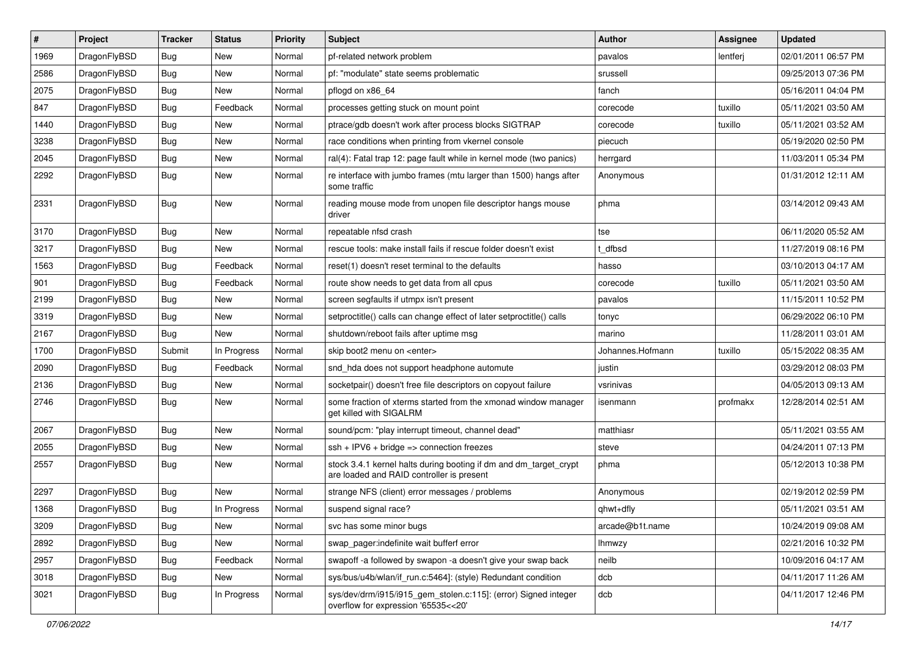| #    | Project      | <b>Tracker</b> | <b>Status</b> | <b>Priority</b> | Subject                                                                                                        | <b>Author</b>    | <b>Assignee</b> | <b>Updated</b>      |
|------|--------------|----------------|---------------|-----------------|----------------------------------------------------------------------------------------------------------------|------------------|-----------------|---------------------|
| 1969 | DragonFlyBSD | Bug            | New           | Normal          | pf-related network problem                                                                                     | pavalos          | lentferj        | 02/01/2011 06:57 PM |
| 2586 | DragonFlyBSD | Bug            | <b>New</b>    | Normal          | pf: "modulate" state seems problematic                                                                         | srussell         |                 | 09/25/2013 07:36 PM |
| 2075 | DragonFlyBSD | <b>Bug</b>     | New           | Normal          | pflogd on x86 64                                                                                               | fanch            |                 | 05/16/2011 04:04 PM |
| 847  | DragonFlyBSD | <b>Bug</b>     | Feedback      | Normal          | processes getting stuck on mount point                                                                         | corecode         | tuxillo         | 05/11/2021 03:50 AM |
| 1440 | DragonFlyBSD | Bug            | <b>New</b>    | Normal          | ptrace/gdb doesn't work after process blocks SIGTRAP                                                           | corecode         | tuxillo         | 05/11/2021 03:52 AM |
| 3238 | DragonFlyBSD | <b>Bug</b>     | New           | Normal          | race conditions when printing from vkernel console                                                             | piecuch          |                 | 05/19/2020 02:50 PM |
| 2045 | DragonFlyBSD | <b>Bug</b>     | New           | Normal          | ral(4): Fatal trap 12: page fault while in kernel mode (two panics)                                            | herrgard         |                 | 11/03/2011 05:34 PM |
| 2292 | DragonFlyBSD | Bug            | New           | Normal          | re interface with jumbo frames (mtu larger than 1500) hangs after<br>some traffic                              | Anonymous        |                 | 01/31/2012 12:11 AM |
| 2331 | DragonFlyBSD | Bug            | <b>New</b>    | Normal          | reading mouse mode from unopen file descriptor hangs mouse<br>driver                                           | phma             |                 | 03/14/2012 09:43 AM |
| 3170 | DragonFlyBSD | Bug            | <b>New</b>    | Normal          | repeatable nfsd crash                                                                                          | tse              |                 | 06/11/2020 05:52 AM |
| 3217 | DragonFlyBSD | <b>Bug</b>     | <b>New</b>    | Normal          | rescue tools: make install fails if rescue folder doesn't exist                                                | t dfbsd          |                 | 11/27/2019 08:16 PM |
| 1563 | DragonFlyBSD | <b>Bug</b>     | Feedback      | Normal          | reset(1) doesn't reset terminal to the defaults                                                                | hasso            |                 | 03/10/2013 04:17 AM |
| 901  | DragonFlyBSD | <b>Bug</b>     | Feedback      | Normal          | route show needs to get data from all cpus                                                                     | corecode         | tuxillo         | 05/11/2021 03:50 AM |
| 2199 | DragonFlyBSD | <b>Bug</b>     | New           | Normal          | screen segfaults if utmpx isn't present                                                                        | pavalos          |                 | 11/15/2011 10:52 PM |
| 3319 | DragonFlyBSD | <b>Bug</b>     | New           | Normal          | setproctitle() calls can change effect of later setproctitle() calls                                           | tonyc            |                 | 06/29/2022 06:10 PM |
| 2167 | DragonFlyBSD | <b>Bug</b>     | <b>New</b>    | Normal          | shutdown/reboot fails after uptime msq                                                                         | marino           |                 | 11/28/2011 03:01 AM |
| 1700 | DragonFlyBSD | Submit         | In Progress   | Normal          | skip boot2 menu on <enter></enter>                                                                             | Johannes.Hofmann | tuxillo         | 05/15/2022 08:35 AM |
| 2090 | DragonFlyBSD | <b>Bug</b>     | Feedback      | Normal          | snd_hda does not support headphone automute                                                                    | justin           |                 | 03/29/2012 08:03 PM |
| 2136 | DragonFlyBSD | <b>Bug</b>     | <b>New</b>    | Normal          | socketpair() doesn't free file descriptors on copyout failure                                                  | vsrinivas        |                 | 04/05/2013 09:13 AM |
| 2746 | DragonFlyBSD | <b>Bug</b>     | New           | Normal          | some fraction of xterms started from the xmonad window manager<br>get killed with SIGALRM                      | isenmann         | profmakx        | 12/28/2014 02:51 AM |
| 2067 | DragonFlyBSD | <b>Bug</b>     | <b>New</b>    | Normal          | sound/pcm: "play interrupt timeout, channel dead"                                                              | matthiasr        |                 | 05/11/2021 03:55 AM |
| 2055 | DragonFlyBSD | <b>Bug</b>     | <b>New</b>    | Normal          | ssh + IPV6 + bridge => connection freezes                                                                      | steve            |                 | 04/24/2011 07:13 PM |
| 2557 | DragonFlyBSD | <b>Bug</b>     | <b>New</b>    | Normal          | stock 3.4.1 kernel halts during booting if dm and dm_target_crypt<br>are loaded and RAID controller is present | phma             |                 | 05/12/2013 10:38 PM |
| 2297 | DragonFlyBSD | <b>Bug</b>     | New           | Normal          | strange NFS (client) error messages / problems                                                                 | Anonymous        |                 | 02/19/2012 02:59 PM |
| 1368 | DragonFlyBSD | Bug            | In Progress   | Normal          | suspend signal race?                                                                                           | qhwt+dfly        |                 | 05/11/2021 03:51 AM |
| 3209 | DragonFlyBSD | <b>Bug</b>     | New           | Normal          | svc has some minor bugs                                                                                        | arcade@b1t.name  |                 | 10/24/2019 09:08 AM |
| 2892 | DragonFlyBSD | <b>Bug</b>     | <b>New</b>    | Normal          | swap_pager:indefinite wait bufferf error                                                                       | Ihmwzy           |                 | 02/21/2016 10:32 PM |
| 2957 | DragonFlyBSD | <b>Bug</b>     | Feedback      | Normal          | swapoff -a followed by swapon -a doesn't give your swap back                                                   | neilb            |                 | 10/09/2016 04:17 AM |
| 3018 | DragonFlyBSD | <b>Bug</b>     | New           | Normal          | sys/bus/u4b/wlan/if_run.c:5464]: (style) Redundant condition                                                   | dcb              |                 | 04/11/2017 11:26 AM |
| 3021 | DragonFlyBSD | <b>Bug</b>     | In Progress   | Normal          | sys/dev/drm/i915/i915_gem_stolen.c:115]: (error) Signed integer<br>overflow for expression '65535<<20'         | dcb              |                 | 04/11/2017 12:46 PM |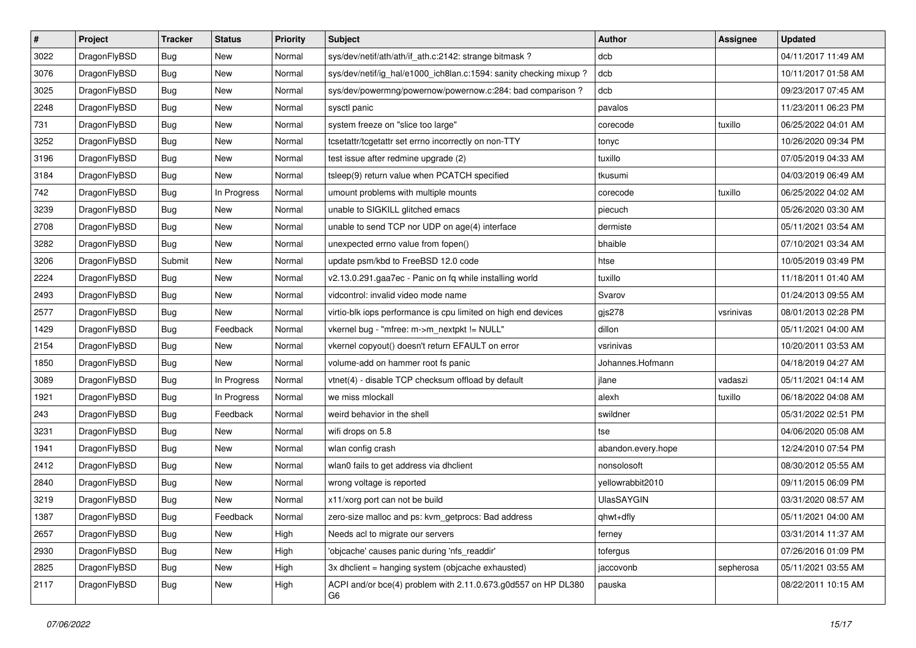| $\sharp$ | Project      | <b>Tracker</b> | <b>Status</b> | <b>Priority</b> | <b>Subject</b>                                                      | Author             | Assignee  | <b>Updated</b>      |
|----------|--------------|----------------|---------------|-----------------|---------------------------------------------------------------------|--------------------|-----------|---------------------|
| 3022     | DragonFlyBSD | <b>Bug</b>     | New           | Normal          | sys/dev/netif/ath/ath/if_ath.c:2142: strange bitmask?               | dcb                |           | 04/11/2017 11:49 AM |
| 3076     | DragonFlyBSD | <b>Bug</b>     | <b>New</b>    | Normal          | sys/dev/netif/ig_hal/e1000_ich8lan.c:1594: sanity checking mixup?   | dcb                |           | 10/11/2017 01:58 AM |
| 3025     | DragonFlyBSD | <b>Bug</b>     | <b>New</b>    | Normal          | sys/dev/powermng/powernow/powernow.c:284: bad comparison?           | dcb                |           | 09/23/2017 07:45 AM |
| 2248     | DragonFlyBSD | <b>Bug</b>     | New           | Normal          | sysctl panic                                                        | pavalos            |           | 11/23/2011 06:23 PM |
| 731      | DragonFlyBSD | <b>Bug</b>     | <b>New</b>    | Normal          | system freeze on "slice too large"                                  | corecode           | tuxillo   | 06/25/2022 04:01 AM |
| 3252     | DragonFlyBSD | <b>Bug</b>     | New           | Normal          | tcsetattr/tcgetattr set errno incorrectly on non-TTY                | tonyc              |           | 10/26/2020 09:34 PM |
| 3196     | DragonFlyBSD | <b>Bug</b>     | New           | Normal          | test issue after redmine upgrade (2)                                | tuxillo            |           | 07/05/2019 04:33 AM |
| 3184     | DragonFlyBSD | <b>Bug</b>     | New           | Normal          | tsleep(9) return value when PCATCH specified                        | tkusumi            |           | 04/03/2019 06:49 AM |
| 742      | DragonFlyBSD | <b>Bug</b>     | In Progress   | Normal          | umount problems with multiple mounts                                | corecode           | tuxillo   | 06/25/2022 04:02 AM |
| 3239     | DragonFlyBSD | <b>Bug</b>     | New           | Normal          | unable to SIGKILL glitched emacs                                    | piecuch            |           | 05/26/2020 03:30 AM |
| 2708     | DragonFlyBSD | <b>Bug</b>     | New           | Normal          | unable to send TCP nor UDP on age(4) interface                      | dermiste           |           | 05/11/2021 03:54 AM |
| 3282     | DragonFlyBSD | <b>Bug</b>     | <b>New</b>    | Normal          | unexpected errno value from fopen()                                 | bhaible            |           | 07/10/2021 03:34 AM |
| 3206     | DragonFlyBSD | Submit         | New           | Normal          | update psm/kbd to FreeBSD 12.0 code                                 | htse               |           | 10/05/2019 03:49 PM |
| 2224     | DragonFlyBSD | <b>Bug</b>     | New           | Normal          | v2.13.0.291.gaa7ec - Panic on fq while installing world             | tuxillo            |           | 11/18/2011 01:40 AM |
| 2493     | DragonFlyBSD | Bug            | <b>New</b>    | Normal          | vidcontrol: invalid video mode name                                 | Svarov             |           | 01/24/2013 09:55 AM |
| 2577     | DragonFlyBSD | <b>Bug</b>     | New           | Normal          | virtio-blk iops performance is cpu limited on high end devices      | $g$ js $278$       | vsrinivas | 08/01/2013 02:28 PM |
| 1429     | DragonFlyBSD | <b>Bug</b>     | Feedback      | Normal          | vkernel bug - "mfree: m->m_nextpkt != NULL"                         | dillon             |           | 05/11/2021 04:00 AM |
| 2154     | DragonFlyBSD | Bug            | New           | Normal          | vkernel copyout() doesn't return EFAULT on error                    | vsrinivas          |           | 10/20/2011 03:53 AM |
| 1850     | DragonFlyBSD | <b>Bug</b>     | New           | Normal          | volume-add on hammer root fs panic                                  | Johannes.Hofmann   |           | 04/18/2019 04:27 AM |
| 3089     | DragonFlyBSD | <b>Bug</b>     | In Progress   | Normal          | vtnet(4) - disable TCP checksum offload by default                  | jlane              | vadaszi   | 05/11/2021 04:14 AM |
| 1921     | DragonFlyBSD | Bug            | In Progress   | Normal          | we miss mlockall                                                    | alexh              | tuxillo   | 06/18/2022 04:08 AM |
| 243      | DragonFlyBSD | <b>Bug</b>     | Feedback      | Normal          | weird behavior in the shell                                         | swildner           |           | 05/31/2022 02:51 PM |
| 3231     | DragonFlyBSD | Bug            | New           | Normal          | wifi drops on 5.8                                                   | tse                |           | 04/06/2020 05:08 AM |
| 1941     | DragonFlyBSD | <b>Bug</b>     | New           | Normal          | wlan config crash                                                   | abandon.every.hope |           | 12/24/2010 07:54 PM |
| 2412     | DragonFlyBSD | <b>Bug</b>     | <b>New</b>    | Normal          | wlan0 fails to get address via dhclient                             | nonsolosoft        |           | 08/30/2012 05:55 AM |
| 2840     | DragonFlyBSD | Bug            | New           | Normal          | wrong voltage is reported                                           | yellowrabbit2010   |           | 09/11/2015 06:09 PM |
| 3219     | DragonFlyBSD | <b>Bug</b>     | New           | Normal          | x11/xorg port can not be build                                      | <b>UlasSAYGIN</b>  |           | 03/31/2020 08:57 AM |
| 1387     | DragonFlyBSD | <b>Bug</b>     | Feedback      | Normal          | zero-size malloc and ps: kvm_getprocs: Bad address                  | qhwt+dfly          |           | 05/11/2021 04:00 AM |
| 2657     | DragonFlyBSD | <b>Bug</b>     | New           | High            | Needs acl to migrate our servers                                    | ferney             |           | 03/31/2014 11:37 AM |
| 2930     | DragonFlyBSD | <b>Bug</b>     | New           | High            | 'objcache' causes panic during 'nfs_readdir'                        | tofergus           |           | 07/26/2016 01:09 PM |
| 2825     | DragonFlyBSD | <b>Bug</b>     | <b>New</b>    | High            | 3x dhclient = hanging system (objcache exhausted)                   | jaccovonb          | sepherosa | 05/11/2021 03:55 AM |
| 2117     | DragonFlyBSD | <b>Bug</b>     | New           | High            | ACPI and/or bce(4) problem with 2.11.0.673.g0d557 on HP DL380<br>G6 | pauska             |           | 08/22/2011 10:15 AM |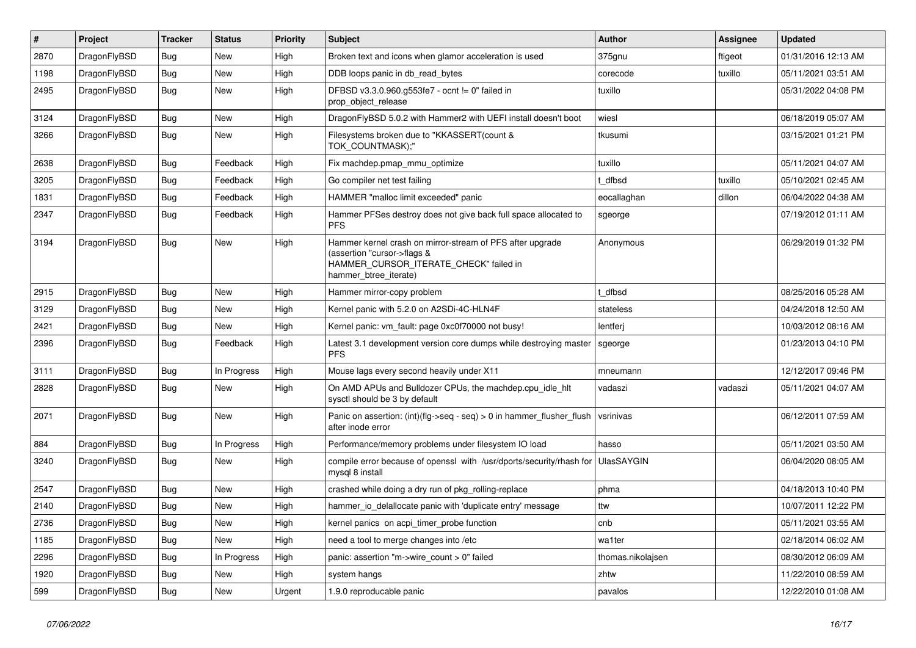| $\vert$ # | Project      | <b>Tracker</b> | <b>Status</b> | <b>Priority</b> | <b>Subject</b>                                                                                                                                              | <b>Author</b>     | Assignee | <b>Updated</b>      |
|-----------|--------------|----------------|---------------|-----------------|-------------------------------------------------------------------------------------------------------------------------------------------------------------|-------------------|----------|---------------------|
| 2870      | DragonFlyBSD | Bug            | <b>New</b>    | High            | Broken text and icons when glamor acceleration is used                                                                                                      | 375gnu            | ftigeot  | 01/31/2016 12:13 AM |
| 1198      | DragonFlyBSD | Bug            | <b>New</b>    | High            | DDB loops panic in db read bytes                                                                                                                            | corecode          | tuxillo  | 05/11/2021 03:51 AM |
| 2495      | DragonFlyBSD | Bug            | <b>New</b>    | High            | DFBSD v3.3.0.960.g553fe7 - ocnt != 0" failed in<br>prop_object_release                                                                                      | tuxillo           |          | 05/31/2022 04:08 PM |
| 3124      | DragonFlyBSD | <b>Bug</b>     | <b>New</b>    | High            | DragonFlyBSD 5.0.2 with Hammer2 with UEFI install doesn't boot                                                                                              | wiesl             |          | 06/18/2019 05:07 AM |
| 3266      | DragonFlyBSD | <b>Bug</b>     | <b>New</b>    | High            | Filesystems broken due to "KKASSERT(count &<br>TOK COUNTMASK);"                                                                                             | tkusumi           |          | 03/15/2021 01:21 PM |
| 2638      | DragonFlyBSD | Bug            | Feedback      | High            | Fix machdep.pmap_mmu_optimize                                                                                                                               | tuxillo           |          | 05/11/2021 04:07 AM |
| 3205      | DragonFlyBSD | Bug            | Feedback      | High            | Go compiler net test failing                                                                                                                                | t dfbsd           | tuxillo  | 05/10/2021 02:45 AM |
| 1831      | DragonFlyBSD | Bug            | Feedback      | High            | HAMMER "malloc limit exceeded" panic                                                                                                                        | eocallaghan       | dillon   | 06/04/2022 04:38 AM |
| 2347      | DragonFlyBSD | <b>Bug</b>     | Feedback      | High            | Hammer PFSes destroy does not give back full space allocated to<br><b>PFS</b>                                                                               | sgeorge           |          | 07/19/2012 01:11 AM |
| 3194      | DragonFlyBSD | <b>Bug</b>     | <b>New</b>    | High            | Hammer kernel crash on mirror-stream of PFS after upgrade<br>(assertion "cursor->flags &<br>HAMMER_CURSOR_ITERATE_CHECK" failed in<br>hammer btree iterate) | Anonymous         |          | 06/29/2019 01:32 PM |
| 2915      | DragonFlyBSD | <b>Bug</b>     | <b>New</b>    | High            | Hammer mirror-copy problem                                                                                                                                  | t dfbsd           |          | 08/25/2016 05:28 AM |
| 3129      | DragonFlyBSD | <b>Bug</b>     | <b>New</b>    | High            | Kernel panic with 5.2.0 on A2SDi-4C-HLN4F                                                                                                                   | stateless         |          | 04/24/2018 12:50 AM |
| 2421      | DragonFlyBSD | Bug            | New           | High            | Kernel panic: vm_fault: page 0xc0f70000 not busy!                                                                                                           | lentferj          |          | 10/03/2012 08:16 AM |
| 2396      | DragonFlyBSD | Bug            | Feedback      | High            | Latest 3.1 development version core dumps while destroying master<br><b>PFS</b>                                                                             | sgeorge           |          | 01/23/2013 04:10 PM |
| 3111      | DragonFlyBSD | Bug            | In Progress   | High            | Mouse lags every second heavily under X11                                                                                                                   | mneumann          |          | 12/12/2017 09:46 PM |
| 2828      | DragonFlyBSD | <b>Bug</b>     | New           | High            | On AMD APUs and Bulldozer CPUs, the machdep.cpu_idle_hlt<br>sysctl should be 3 by default                                                                   | vadaszi           | vadaszi  | 05/11/2021 04:07 AM |
| 2071      | DragonFlyBSD | <b>Bug</b>     | <b>New</b>    | High            | Panic on assertion: (int)(flg->seq - seq) > 0 in hammer_flusher_flush<br>after inode error                                                                  | vsrinivas         |          | 06/12/2011 07:59 AM |
| 884       | DragonFlyBSD | <b>Bug</b>     | In Progress   | High            | Performance/memory problems under filesystem IO load                                                                                                        | hasso             |          | 05/11/2021 03:50 AM |
| 3240      | DragonFlyBSD | Bug            | New           | High            | compile error because of openssl with /usr/dports/security/rhash for<br>mysql 8 install                                                                     | <b>UlasSAYGIN</b> |          | 06/04/2020 08:05 AM |
| 2547      | DragonFlyBSD | <b>Bug</b>     | <b>New</b>    | High            | crashed while doing a dry run of pkg rolling-replace                                                                                                        | phma              |          | 04/18/2013 10:40 PM |
| 2140      | DragonFlyBSD | <b>Bug</b>     | <b>New</b>    | High            | hammer_io_delallocate panic with 'duplicate entry' message                                                                                                  | ttw               |          | 10/07/2011 12:22 PM |
| 2736      | DragonFlyBSD | <b>Bug</b>     | <b>New</b>    | High            | kernel panics on acpi timer probe function                                                                                                                  | cnb               |          | 05/11/2021 03:55 AM |
| 1185      | DragonFlyBSD | Bug            | <b>New</b>    | High            | need a tool to merge changes into /etc                                                                                                                      | wa1ter            |          | 02/18/2014 06:02 AM |
| 2296      | DragonFlyBSD | Bug            | In Progress   | High            | panic: assertion "m->wire_count > 0" failed                                                                                                                 | thomas.nikolajsen |          | 08/30/2012 06:09 AM |
| 1920      | DragonFlyBSD | <b>Bug</b>     | <b>New</b>    | High            | system hangs                                                                                                                                                | zhtw              |          | 11/22/2010 08:59 AM |
| 599       | DragonFlyBSD | <b>Bug</b>     | <b>New</b>    | Urgent          | 1.9.0 reproducable panic                                                                                                                                    | pavalos           |          | 12/22/2010 01:08 AM |